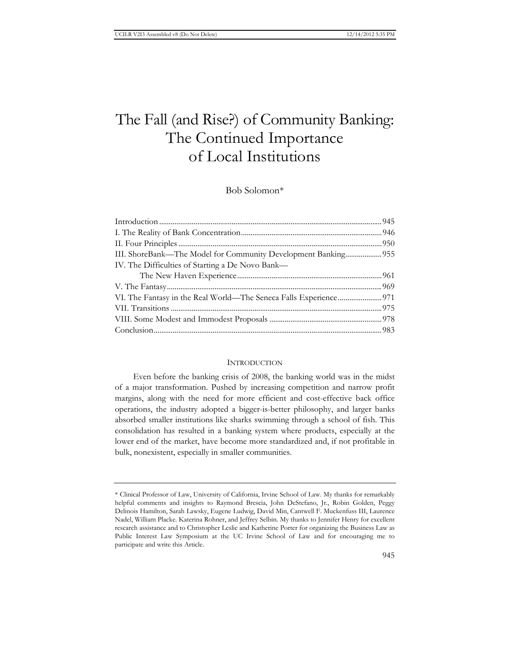# The Fall (and Rise?) of Community Banking: The Continued Importance of Local Institutions

Bob Solomon\*

| IV. The Difficulties of Starting a De Novo Bank- |  |
|--------------------------------------------------|--|
|                                                  |  |
|                                                  |  |
|                                                  |  |
|                                                  |  |
|                                                  |  |
|                                                  |  |

## **INTRODUCTION**

Even before the banking crisis of 2008, the banking world was in the midst of a major transformation. Pushed by increasing competition and narrow profit margins, along with the need for more efficient and cost-effective back office operations, the industry adopted a bigger-is-better philosophy, and larger banks absorbed smaller institutions like sharks swimming through a school of fish. This consolidation has resulted in a banking system where products, especially at the lower end of the market, have become more standardized and, if not profitable in bulk, nonexistent, especially in smaller communities.

<sup>\*</sup> Clinical Professor of Law, University of California, Irvine School of Law. My thanks for remarkably helpful comments and insights to Raymond Brescia, John DeStefano, Jr., Robin Golden, Peggy Delinois Hamilton, Sarah Lawsky, Eugene Ludwig, David Min, Cantwell F. Muckenfuss III, Laurence Nadel, William Placke. Katerina Rohner, and Jeffrey Selbin. My thanks to Jennifer Henry for excellent research assistance and to Christopher Leslie and Katherine Porter for organizing the Business Law as Public Interest Law Symposium at the UC Irvine School of Law and for encouraging me to participate and write this Article.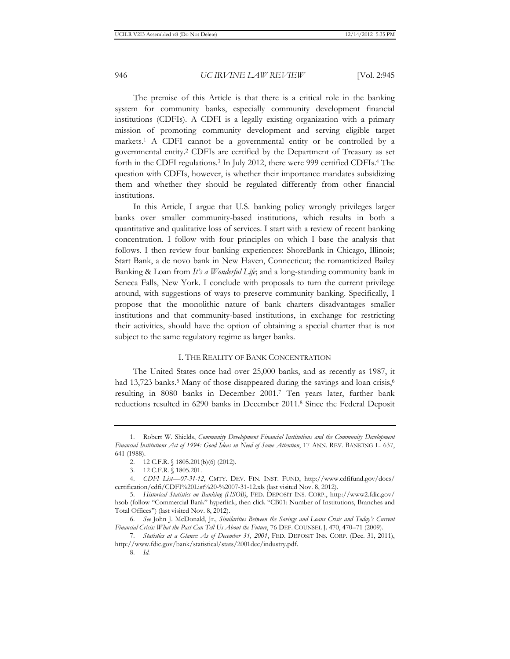The premise of this Article is that there is a critical role in the banking system for community banks, especially community development financial institutions (CDFIs). A CDFI is a legally existing organization with a primary mission of promoting community development and serving eligible target markets.1 A CDFI cannot be a governmental entity or be controlled by a governmental entity.2 CDFIs are certified by the Department of Treasury as set forth in the CDFI regulations.<sup>3</sup> In July 2012, there were 999 certified CDFIs.<sup>4</sup> The question with CDFIs, however, is whether their importance mandates subsidizing them and whether they should be regulated differently from other financial institutions.

In this Article, I argue that U.S. banking policy wrongly privileges larger banks over smaller community-based institutions, which results in both a quantitative and qualitative loss of services. I start with a review of recent banking concentration. I follow with four principles on which I base the analysis that follows. I then review four banking experiences: ShoreBank in Chicago, Illinois; Start Bank, a de novo bank in New Haven, Connecticut; the romanticized Bailey Banking & Loan from *It's a Wonderful Life*; and a long-standing community bank in Seneca Falls, New York. I conclude with proposals to turn the current privilege around, with suggestions of ways to preserve community banking. Specifically, I propose that the monolithic nature of bank charters disadvantages smaller institutions and that community-based institutions, in exchange for restricting their activities, should have the option of obtaining a special charter that is not subject to the same regulatory regime as larger banks.

## I. THE REALITY OF BANK CONCENTRATION

The United States once had over 25,000 banks, and as recently as 1987, it had 13,723 banks.<sup>5</sup> Many of those disappeared during the savings and loan crisis,<sup>6</sup> resulting in 8080 banks in December 2001.7 Ten years later, further bank reductions resulted in 6290 banks in December 2011.8 Since the Federal Deposit

<sup>1.</sup> Robert W. Shields, *Community Development Financial Institutions and the Community Development Financial Institutions Act of 1994: Good Ideas in Need of Some Attention*, 17 ANN. REV. BANKING L. 637, 641 (1988).

<sup>2. 12</sup> C.F.R. § 1805.201(b)(6) (2012).

<sup>3. 12</sup> C.F.R. § 1805.201.

<sup>4.</sup> *CDFI List—07-31-12*, CMTY. DEV. FIN. INST. FUND, http://www.cdfifund.gov/docs/ certification/cdfi/CDFI%20List%20-%2007-31-12.xls (last visited Nov. 8, 2012).

<sup>5.</sup> *Historical Statistics on Banking (HSOB)*, FED. DEPOSIT INS. CORP., http://www2.fdic.gov/ hsob (follow "Commercial Bank" hyperlink; then click "CB01: Number of Institutions, Branches and Total Offices") (last visited Nov. 8, 2012).

<sup>6.</sup> *See* John J. McDonald, Jr., *Similarities Between the Savings and Loans Crisis and Today's Current Financial Crisis: What the Past Can Tell Us About the Future*, 76 DEF. COUNSEL J. 470, 470–71 (2009).

<sup>7.</sup> *Statistics at a Glance: As of December 31, 2001*, FED. DEPOSIT INS. CORP. (Dec. 31, 2011), http://www.fdic.gov/bank/statistical/stats/2001dec/industry.pdf.

<sup>8.</sup> *Id.*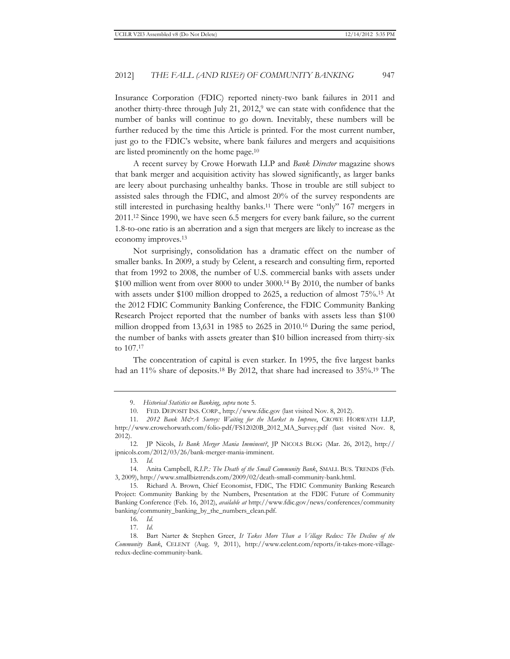Insurance Corporation (FDIC) reported ninety-two bank failures in 2011 and another thirty-three through July 21,  $2012$ , we can state with confidence that the number of banks will continue to go down. Inevitably, these numbers will be further reduced by the time this Article is printed. For the most current number, just go to the FDIC's website, where bank failures and mergers and acquisitions are listed prominently on the home page.10

A recent survey by Crowe Horwath LLP and *Bank Director* magazine shows that bank merger and acquisition activity has slowed significantly, as larger banks are leery about purchasing unhealthy banks. Those in trouble are still subject to assisted sales through the FDIC, and almost 20% of the survey respondents are still interested in purchasing healthy banks.11 There were "only" 167 mergers in 2011.12 Since 1990, we have seen 6.5 mergers for every bank failure, so the current 1.8-to-one ratio is an aberration and a sign that mergers are likely to increase as the economy improves.13

Not surprisingly, consolidation has a dramatic effect on the number of smaller banks. In 2009, a study by Celent, a research and consulting firm, reported that from 1992 to 2008, the number of U.S. commercial banks with assets under \$100 million went from over 8000 to under 3000.14 By 2010, the number of banks with assets under \$100 million dropped to 2625, a reduction of almost 75%.<sup>15</sup> At the 2012 FDIC Community Banking Conference, the FDIC Community Banking Research Project reported that the number of banks with assets less than \$100 million dropped from 13,631 in 1985 to 2625 in 2010.16 During the same period, the number of banks with assets greater than \$10 billion increased from thirty-six to 107.17

The concentration of capital is even starker. In 1995, the five largest banks had an 11% share of deposits.<sup>18</sup> By 2012, that share had increased to 35%.<sup>19</sup> The

14. Anita Campbell, *R.I.P.: The Death of the Small Community Bank*, SMALL BUS. TRENDS (Feb. 3, 2009), http://www.smallbiztrends.com/2009/02/death-small-community-bank.html.

15. Richard A. Brown, Chief Economist, FDIC, The FDIC Community Banking Research Project: Community Banking by the Numbers, Presentation at the FDIC Future of Community Banking Conference (Feb. 16, 2012), *available at* http://www.fdic.gov/news/conferences/community banking/community\_banking\_by\_the\_numbers\_clean.pdf.

16. *Id.* 17. *Id.*

<sup>9.</sup> *Historical Statistics on Banking*, *supra* note 5.

<sup>10.</sup> FED. DEPOSIT INS. CORP., http://www.fdic.gov (last visited Nov. 8, 2012).

<sup>11.</sup> *2012 Bank M&A Survey: Waiting for the Market to Improve*, CROWE HORWATH LLP, http://www.crowehorwath.com/folio-pdf/FS12020B\_2012\_MA\_Survey.pdf (last visited Nov. 8, 2012).

<sup>12.</sup> JP Nicols, *Is Bank Merger Mania Imminent?*, JP NICOLS BLOG (Mar. 26, 2012), http:// jpnicols.com/2012/03/26/bank-merger-mania-imminent.

<sup>13.</sup> *Id.*

<sup>18.</sup> Bart Narter & Stephen Greer, *It Takes More Than a Village Redux: The Decline of the Community Bank*, CELENT (Aug. 9, 2011), http://www.celent.com/reports/it-takes-more-villageredux-decline-community-bank.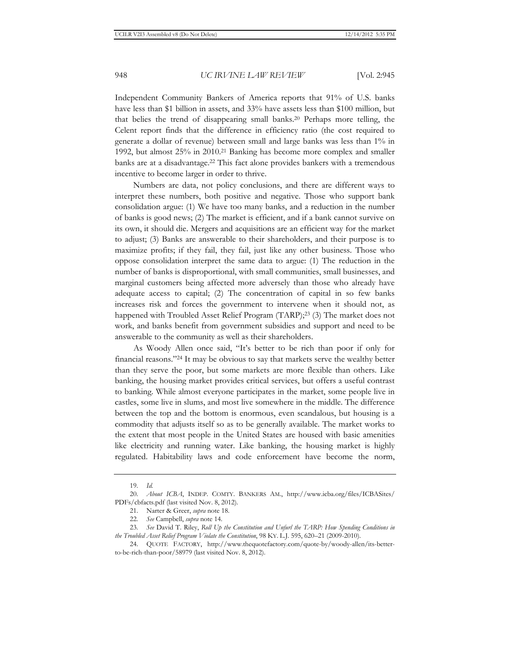Independent Community Bankers of America reports that 91% of U.S. banks have less than \$1 billion in assets, and 33% have assets less than \$100 million, but that belies the trend of disappearing small banks.20 Perhaps more telling, the Celent report finds that the difference in efficiency ratio (the cost required to generate a dollar of revenue) between small and large banks was less than 1% in 1992, but almost 25% in 2010.21 Banking has become more complex and smaller banks are at a disadvantage.<sup>22</sup> This fact alone provides bankers with a tremendous incentive to become larger in order to thrive.

Numbers are data, not policy conclusions, and there are different ways to interpret these numbers, both positive and negative. Those who support bank consolidation argue: (1) We have too many banks, and a reduction in the number of banks is good news; (2) The market is efficient, and if a bank cannot survive on its own, it should die. Mergers and acquisitions are an efficient way for the market to adjust; (3) Banks are answerable to their shareholders, and their purpose is to maximize profits; if they fail, they fail, just like any other business. Those who oppose consolidation interpret the same data to argue: (1) The reduction in the number of banks is disproportional, with small communities, small businesses, and marginal customers being affected more adversely than those who already have adequate access to capital; (2) The concentration of capital in so few banks increases risk and forces the government to intervene when it should not, as happened with Troubled Asset Relief Program (TARP);<sup>23</sup> (3) The market does not work, and banks benefit from government subsidies and support and need to be answerable to the community as well as their shareholders.

As Woody Allen once said, "It's better to be rich than poor if only for financial reasons."24 It may be obvious to say that markets serve the wealthy better than they serve the poor, but some markets are more flexible than others. Like banking, the housing market provides critical services, but offers a useful contrast to banking. While almost everyone participates in the market, some people live in castles, some live in slums, and most live somewhere in the middle. The difference between the top and the bottom is enormous, even scandalous, but housing is a commodity that adjusts itself so as to be generally available. The market works to the extent that most people in the United States are housed with basic amenities like electricity and running water. Like banking, the housing market is highly regulated. Habitability laws and code enforcement have become the norm,

<sup>19.</sup> *Id.*

<sup>20.</sup> *About ICBA*, INDEP. COMTY. BANKERS AM., http://www.icba.org/files/ICBASites/ PDFs/cbfacts.pdf (last visited Nov. 8, 2012).

<sup>21.</sup> Narter & Greer, *supra* note 18.

<sup>22.</sup> *See* Campbell, *supra* note 14.

<sup>23.</sup> *See* David T. Riley, *Roll Up the Constitution and Unfurl the TARP: How Spending Conditions in the Troubled Asset Relief Program Violate the Constitution*, 98 KY. L.J. 595, 620–21 (2009-2010).

<sup>24.</sup> QUOTE FACTORY, http://www.thequotefactory.com/quote-by/woody-allen/its-betterto-be-rich-than-poor/58979 (last visited Nov. 8, 2012).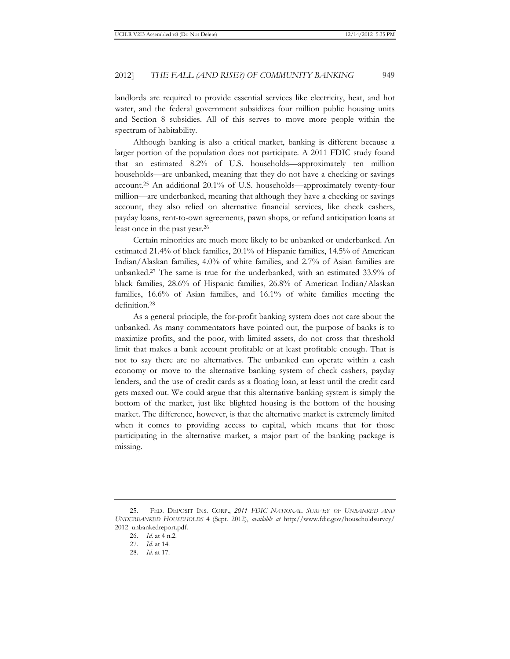landlords are required to provide essential services like electricity, heat, and hot water, and the federal government subsidizes four million public housing units and Section 8 subsidies. All of this serves to move more people within the spectrum of habitability.

Although banking is also a critical market, banking is different because a larger portion of the population does not participate. A 2011 FDIC study found that an estimated 8.2% of U.S. households—approximately ten million households—are unbanked, meaning that they do not have a checking or savings account.25 An additional 20.1% of U.S. households—approximately twenty-four million—are underbanked, meaning that although they have a checking or savings account, they also relied on alternative financial services, like check cashers, payday loans, rent-to-own agreements, pawn shops, or refund anticipation loans at least once in the past year.<sup>26</sup>

Certain minorities are much more likely to be unbanked or underbanked. An estimated 21.4% of black families, 20.1% of Hispanic families, 14.5% of American Indian/Alaskan families, 4.0% of white families, and 2.7% of Asian families are unbanked.27 The same is true for the underbanked, with an estimated 33.9% of black families, 28.6% of Hispanic families, 26.8% of American Indian/Alaskan families, 16.6% of Asian families, and 16.1% of white families meeting the definition.28

As a general principle, the for-profit banking system does not care about the unbanked. As many commentators have pointed out, the purpose of banks is to maximize profits, and the poor, with limited assets, do not cross that threshold limit that makes a bank account profitable or at least profitable enough. That is not to say there are no alternatives. The unbanked can operate within a cash economy or move to the alternative banking system of check cashers, payday lenders, and the use of credit cards as a floating loan, at least until the credit card gets maxed out. We could argue that this alternative banking system is simply the bottom of the market, just like blighted housing is the bottom of the housing market. The difference, however, is that the alternative market is extremely limited when it comes to providing access to capital, which means that for those participating in the alternative market, a major part of the banking package is missing.

<sup>25.</sup> FED. DEPOSIT INS. CORP., *2011 FDIC NATIONAL SURVEY OF UNBANKED AND UNDERBANKED HOUSEHOLDS* 4 (Sept. 2012), *available at* http://www.fdic.gov/householdsurvey/ 2012\_unbankedreport.pdf.

<sup>26.</sup> *Id.* at 4 n.2.

<sup>27.</sup> *Id.* at 14.

<sup>28.</sup> *Id.* at 17.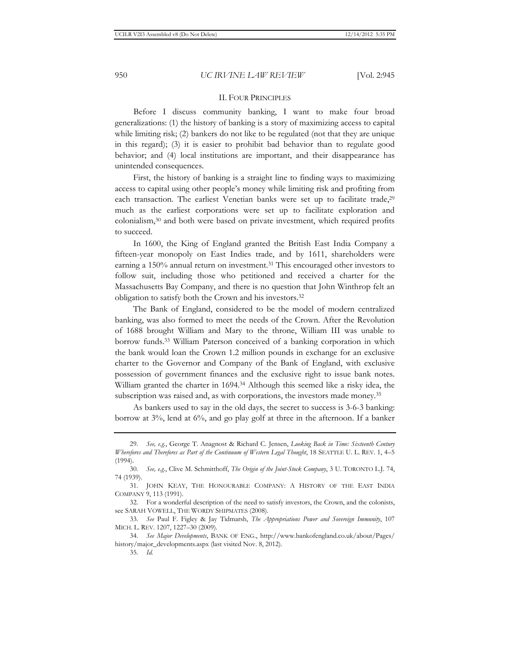#### II. FOUR PRINCIPLES

Before I discuss community banking, I want to make four broad generalizations: (1) the history of banking is a story of maximizing access to capital while limiting risk; (2) bankers do not like to be regulated (not that they are unique in this regard); (3) it is easier to prohibit bad behavior than to regulate good behavior; and (4) local institutions are important, and their disappearance has unintended consequences.

First, the history of banking is a straight line to finding ways to maximizing access to capital using other people's money while limiting risk and profiting from each transaction. The earliest Venetian banks were set up to facilitate trade,<sup>29</sup> much as the earliest corporations were set up to facilitate exploration and colonialism,30 and both were based on private investment, which required profits to succeed.

In 1600, the King of England granted the British East India Company a fifteen-year monopoly on East Indies trade, and by 1611, shareholders were earning a 150% annual return on investment.<sup>31</sup> This encouraged other investors to follow suit, including those who petitioned and received a charter for the Massachusetts Bay Company, and there is no question that John Winthrop felt an obligation to satisfy both the Crown and his investors.32

The Bank of England, considered to be the model of modern centralized banking, was also formed to meet the needs of the Crown. After the Revolution of 1688 brought William and Mary to the throne, William III was unable to borrow funds.33 William Paterson conceived of a banking corporation in which the bank would loan the Crown 1.2 million pounds in exchange for an exclusive charter to the Governor and Company of the Bank of England, with exclusive possession of government finances and the exclusive right to issue bank notes. William granted the charter in 1694.34 Although this seemed like a risky idea, the subscription was raised and, as with corporations, the investors made money.<sup>35</sup>

As bankers used to say in the old days, the secret to success is 3-6-3 banking: borrow at 3%, lend at 6%, and go play golf at three in the afternoon. If a banker

<sup>29.</sup> *See, e.g.*, George T. Anagnost & Richard C. Jensen, *Looking Back in Time: Sixteenth Century Wherefores and Therefores as Part of the Continuum of Western Legal Thought*, 18 SEATTLE U. L. REV. 1, 4–5 (1994).

<sup>30.</sup> *See, e.g.*, Clive M. Schmitthoff, *The Origin of the Joint-Stock Company*, 3 U. TORONTO L.J. 74, 74 (1939).

<sup>31.</sup> JOHN KEAY, THE HONOURABLE COMPANY: A HISTORY OF THE EAST INDIA COMPANY 9, 113 (1991).

<sup>32.</sup> For a wonderful description of the need to satisfy investors, the Crown, and the colonists, see SARAH VOWELL, THE WORDY SHIPMATES (2008).

<sup>33.</sup> *See* Paul F. Figley & Jay Tidmarsh, *The Appropriations Power and Sovereign Immunity*, 107 MICH. L. REV. 1207, 1227–30 (2009).

<sup>34.</sup> *See Major Developments*, BANK OF ENG., http://www.bankofengland.co.uk/about/Pages/ history/major\_developments.aspx (last visited Nov. 8, 2012).

<sup>35.</sup> *Id.*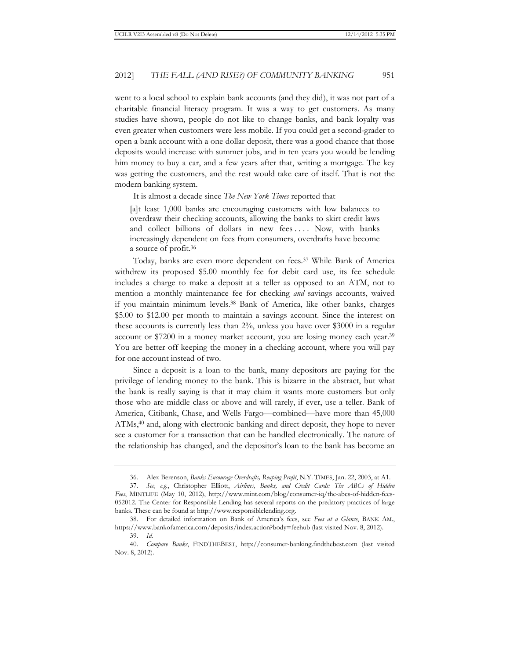went to a local school to explain bank accounts (and they did), it was not part of a charitable financial literacy program. It was a way to get customers. As many studies have shown, people do not like to change banks, and bank loyalty was even greater when customers were less mobile. If you could get a second-grader to open a bank account with a one dollar deposit, there was a good chance that those deposits would increase with summer jobs, and in ten years you would be lending him money to buy a car, and a few years after that, writing a mortgage. The key was getting the customers, and the rest would take care of itself. That is not the modern banking system.

It is almost a decade since *The New York Times* reported that

[a]t least 1,000 banks are encouraging customers with low balances to overdraw their checking accounts, allowing the banks to skirt credit laws and collect billions of dollars in new fees .... Now, with banks increasingly dependent on fees from consumers, overdrafts have become a source of profit.36

Today, banks are even more dependent on fees.37 While Bank of America withdrew its proposed \$5.00 monthly fee for debit card use, its fee schedule includes a charge to make a deposit at a teller as opposed to an ATM, not to mention a monthly maintenance fee for checking *and* savings accounts, waived if you maintain minimum levels.38 Bank of America, like other banks, charges \$5.00 to \$12.00 per month to maintain a savings account. Since the interest on these accounts is currently less than 2%, unless you have over \$3000 in a regular account or \$7200 in a money market account, you are losing money each year.39 You are better off keeping the money in a checking account, where you will pay for one account instead of two.

Since a deposit is a loan to the bank, many depositors are paying for the privilege of lending money to the bank. This is bizarre in the abstract, but what the bank is really saying is that it may claim it wants more customers but only those who are middle class or above and will rarely, if ever, use a teller. Bank of America, Citibank, Chase, and Wells Fargo—combined—have more than 45,000 ATMs,<sup>40</sup> and, along with electronic banking and direct deposit, they hope to never see a customer for a transaction that can be handled electronically. The nature of the relationship has changed, and the depositor's loan to the bank has become an

<sup>36.</sup> Alex Berenson, *Banks Encourage Overdrafts, Reaping Profit*, N.Y. TIMES, Jan. 22, 2003, at A1.

<sup>37.</sup> *See, e.g.*, Christopher Elliott, *Airlines, Banks, and Credit Cards: The ABCs of Hidden Fees*, MINTLIFE (May 10, 2012), http://www.mint.com/blog/consumer-iq/the-abcs-of-hidden-fees-052012. The Center for Responsible Lending has several reports on the predatory practices of large banks. These can be found at http://www.responsiblelending.org.

<sup>38.</sup> For detailed information on Bank of America's fees, see *Fees at a Glance*, BANK AM., https://www.bankofamerica.com/deposits/index.action?body=feehub (last visited Nov. 8, 2012).

<sup>39.</sup> *Id.*

<sup>40.</sup> *Compare Banks*, FINDTHEBEST, http://consumer-banking.findthebest.com (last visited Nov. 8, 2012).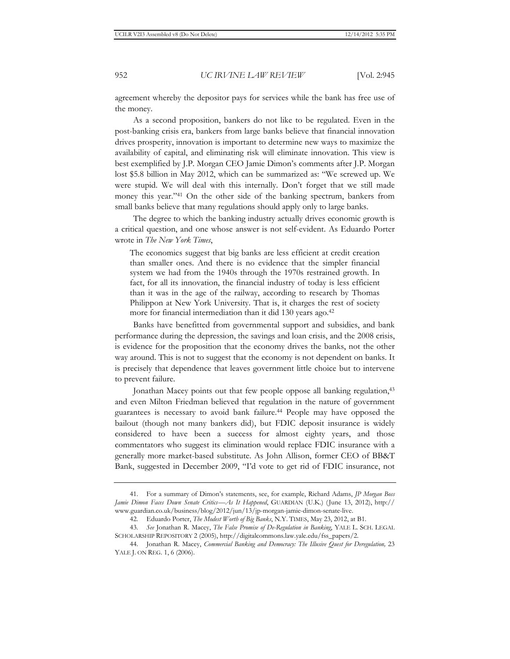agreement whereby the depositor pays for services while the bank has free use of the money.

As a second proposition, bankers do not like to be regulated. Even in the post-banking crisis era, bankers from large banks believe that financial innovation drives prosperity, innovation is important to determine new ways to maximize the availability of capital, and eliminating risk will eliminate innovation. This view is best exemplified by J.P. Morgan CEO Jamie Dimon's comments after J.P. Morgan lost \$5.8 billion in May 2012, which can be summarized as: "We screwed up. We were stupid. We will deal with this internally. Don't forget that we still made money this year."41 On the other side of the banking spectrum, bankers from small banks believe that many regulations should apply only to large banks.

The degree to which the banking industry actually drives economic growth is a critical question, and one whose answer is not self-evident. As Eduardo Porter wrote in *The New York Times*,

The economics suggest that big banks are less efficient at credit creation than smaller ones. And there is no evidence that the simpler financial system we had from the 1940s through the 1970s restrained growth. In fact, for all its innovation, the financial industry of today is less efficient than it was in the age of the railway, according to research by Thomas Philippon at New York University. That is, it charges the rest of society more for financial intermediation than it did 130 years ago.<sup>42</sup>

Banks have benefitted from governmental support and subsidies, and bank performance during the depression, the savings and loan crisis, and the 2008 crisis, is evidence for the proposition that the economy drives the banks, not the other way around. This is not to suggest that the economy is not dependent on banks. It is precisely that dependence that leaves government little choice but to intervene to prevent failure.

Jonathan Macey points out that few people oppose all banking regulation,<sup>43</sup> and even Milton Friedman believed that regulation in the nature of government guarantees is necessary to avoid bank failure.44 People may have opposed the bailout (though not many bankers did), but FDIC deposit insurance is widely considered to have been a success for almost eighty years, and those commentators who suggest its elimination would replace FDIC insurance with a generally more market-based substitute. As John Allison, former CEO of BB&T Bank, suggested in December 2009, "I'd vote to get rid of FDIC insurance, not

<sup>41.</sup> For a summary of Dimon's statements, see, for example, Richard Adams, *JP Morgan Boss Jamie Dimon Faces Down Senate Critics—As It Happened*, GUARDIAN (U.K.) (June 13, 2012), http:// www.guardian.co.uk/business/blog/2012/jun/13/jp-morgan-jamie-dimon-senate-live.

<sup>42.</sup> Eduardo Porter, *The Modest Worth of Big Banks*, N.Y. TIMES, May 23, 2012, at B1.

<sup>43.</sup> *See* Jonathan R. Macey, *The False Promise of De-Regulation in Banking*, YALE L. SCH. LEGAL SCHOLARSHIP REPOSITORY 2 (2005), http://digitalcommons.law.yale.edu/fss\_papers/2.

<sup>44.</sup> Jonathan R. Macey, *Commercial Banking and Democracy: The Illusive Quest for Deregulation,* 23 YALE J. ON REG. 1, 6 (2006).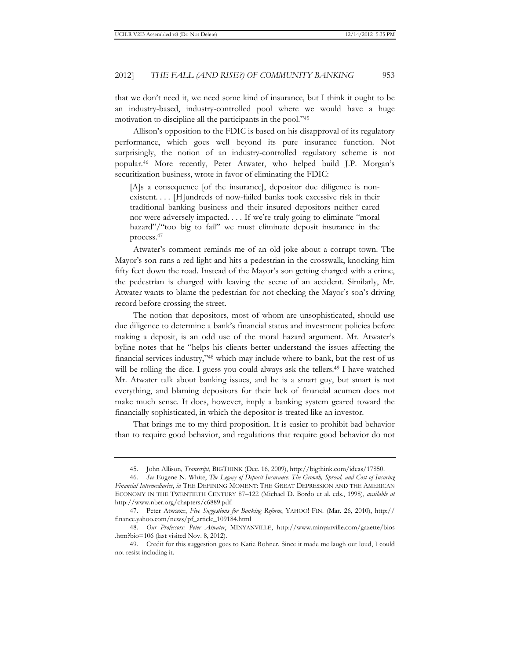that we don't need it, we need some kind of insurance, but I think it ought to be an industry-based, industry-controlled pool where we would have a huge motivation to discipline all the participants in the pool."45

Allison's opposition to the FDIC is based on his disapproval of its regulatory performance, which goes well beyond its pure insurance function. Not surprisingly, the notion of an industry-controlled regulatory scheme is not popular.46 More recently, Peter Atwater, who helped build J.P. Morgan's securitization business, wrote in favor of eliminating the FDIC:

[A]s a consequence [of the insurance], depositor due diligence is nonexistent. . . . [H]undreds of now-failed banks took excessive risk in their traditional banking business and their insured depositors neither cared nor were adversely impacted. . . . If we're truly going to eliminate "moral hazard"/"too big to fail" we must eliminate deposit insurance in the process.47

Atwater's comment reminds me of an old joke about a corrupt town. The Mayor's son runs a red light and hits a pedestrian in the crosswalk, knocking him fifty feet down the road. Instead of the Mayor's son getting charged with a crime, the pedestrian is charged with leaving the scene of an accident. Similarly, Mr. Atwater wants to blame the pedestrian for not checking the Mayor's son's driving record before crossing the street.

The notion that depositors, most of whom are unsophisticated, should use due diligence to determine a bank's financial status and investment policies before making a deposit, is an odd use of the moral hazard argument. Mr. Atwater's byline notes that he "helps his clients better understand the issues affecting the financial services industry,"48 which may include where to bank, but the rest of us will be rolling the dice. I guess you could always ask the tellers.<sup>49</sup> I have watched Mr. Atwater talk about banking issues, and he is a smart guy, but smart is not everything, and blaming depositors for their lack of financial acumen does not make much sense. It does, however, imply a banking system geared toward the financially sophisticated, in which the depositor is treated like an investor.

That brings me to my third proposition. It is easier to prohibit bad behavior than to require good behavior, and regulations that require good behavior do not

<sup>45.</sup> John Allison, *Transcript*, BIGTHINK (Dec. 16, 2009), http://bigthink.com/ideas/17850.

<sup>46.</sup> *See* Eugene N. White, *The Legacy of Deposit Insurance: The Growth, Spread, and Cost of Insuring Financial Intermediaries*, *in* THE DEFINING MOMENT: THE GREAT DEPRESSION AND THE AMERICAN ECONOMY IN THE TWENTIETH CENTURY 87–122 (Michael D. Bordo et al. eds., 1998), *available at*  http://www.nber.org/chapters/c6889.pdf.

<sup>47.</sup> Peter Atwater, *Five Suggestions for Banking Reform*, YAHOO! FIN. (Mar. 26, 2010), http:// finance.yahoo.com/news/pf\_article\_109184.html

<sup>48.</sup> *Our Professors: Peter Atwater*, MINYANVILLE, http://www.minyanville.com/gazette/bios .htm?bio=106 (last visited Nov. 8, 2012).

<sup>49.</sup> Credit for this suggestion goes to Katie Rohner. Since it made me laugh out loud, I could not resist including it.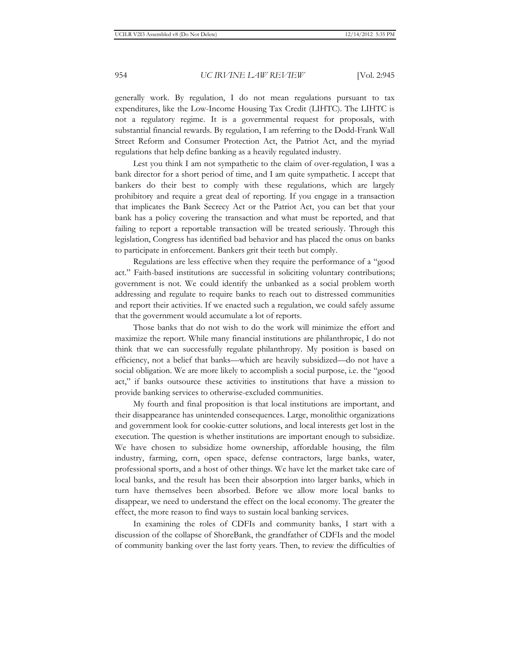generally work. By regulation, I do not mean regulations pursuant to tax expenditures, like the Low-Income Housing Tax Credit (LIHTC). The LIHTC is not a regulatory regime. It is a governmental request for proposals, with substantial financial rewards. By regulation, I am referring to the Dodd-Frank Wall Street Reform and Consumer Protection Act, the Patriot Act, and the myriad regulations that help define banking as a heavily regulated industry.

Lest you think I am not sympathetic to the claim of over-regulation, I was a bank director for a short period of time, and I am quite sympathetic. I accept that bankers do their best to comply with these regulations, which are largely prohibitory and require a great deal of reporting. If you engage in a transaction that implicates the Bank Secrecy Act or the Patriot Act, you can bet that your bank has a policy covering the transaction and what must be reported, and that failing to report a reportable transaction will be treated seriously. Through this legislation, Congress has identified bad behavior and has placed the onus on banks to participate in enforcement. Bankers grit their teeth but comply.

Regulations are less effective when they require the performance of a "good act." Faith-based institutions are successful in soliciting voluntary contributions; government is not. We could identify the unbanked as a social problem worth addressing and regulate to require banks to reach out to distressed communities and report their activities. If we enacted such a regulation, we could safely assume that the government would accumulate a lot of reports.

Those banks that do not wish to do the work will minimize the effort and maximize the report. While many financial institutions are philanthropic, I do not think that we can successfully regulate philanthropy. My position is based on efficiency, not a belief that banks—which are heavily subsidized—do not have a social obligation. We are more likely to accomplish a social purpose, i.e. the "good act," if banks outsource these activities to institutions that have a mission to provide banking services to otherwise-excluded communities.

My fourth and final proposition is that local institutions are important, and their disappearance has unintended consequences. Large, monolithic organizations and government look for cookie-cutter solutions, and local interests get lost in the execution. The question is whether institutions are important enough to subsidize. We have chosen to subsidize home ownership, affordable housing, the film industry, farming, corn, open space, defense contractors, large banks, water, professional sports, and a host of other things. We have let the market take care of local banks, and the result has been their absorption into larger banks, which in turn have themselves been absorbed. Before we allow more local banks to disappear, we need to understand the effect on the local economy. The greater the effect, the more reason to find ways to sustain local banking services.

In examining the roles of CDFIs and community banks, I start with a discussion of the collapse of ShoreBank, the grandfather of CDFIs and the model of community banking over the last forty years. Then, to review the difficulties of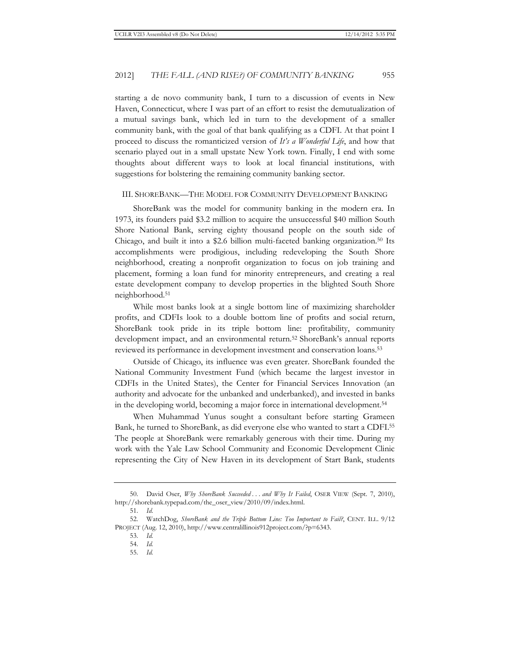starting a de novo community bank, I turn to a discussion of events in New Haven, Connecticut, where I was part of an effort to resist the demutualization of a mutual savings bank, which led in turn to the development of a smaller community bank, with the goal of that bank qualifying as a CDFI. At that point I proceed to discuss the romanticized version of *It's a Wonderful Life*, and how that scenario played out in a small upstate New York town. Finally, I end with some thoughts about different ways to look at local financial institutions, with suggestions for bolstering the remaining community banking sector.

#### III. SHOREBANK—THE MODEL FOR COMMUNITY DEVELOPMENT BANKING

ShoreBank was the model for community banking in the modern era. In 1973, its founders paid \$3.2 million to acquire the unsuccessful \$40 million South Shore National Bank, serving eighty thousand people on the south side of Chicago, and built it into a \$2.6 billion multi-faceted banking organization.50 Its accomplishments were prodigious, including redeveloping the South Shore neighborhood, creating a nonprofit organization to focus on job training and placement, forming a loan fund for minority entrepreneurs, and creating a real estate development company to develop properties in the blighted South Shore neighborhood.51

While most banks look at a single bottom line of maximizing shareholder profits, and CDFIs look to a double bottom line of profits and social return, ShoreBank took pride in its triple bottom line: profitability, community development impact, and an environmental return.52 ShoreBank's annual reports reviewed its performance in development investment and conservation loans.53

Outside of Chicago, its influence was even greater. ShoreBank founded the National Community Investment Fund (which became the largest investor in CDFIs in the United States), the Center for Financial Services Innovation (an authority and advocate for the unbanked and underbanked), and invested in banks in the developing world, becoming a major force in international development.54

When Muhammad Yunus sought a consultant before starting Grameen Bank, he turned to ShoreBank, as did everyone else who wanted to start a CDFI.55 The people at ShoreBank were remarkably generous with their time. During my work with the Yale Law School Community and Economic Development Clinic representing the City of New Haven in its development of Start Bank, students

<sup>50.</sup> David Oser, *Why ShoreBank Succeeded . . . and Why It Failed*, OSER VIEW (Sept. 7, 2010), http://shorebank.typepad.com/the\_oser\_view/2010/09/index.html.

<sup>51.</sup> *Id.*

<sup>52.</sup> WatchDog, *ShoreBank and the Triple Bottom Line: Too Important to Fail?*, CENT. ILL. 9/12 PROJECT (Aug. 12, 2010), http://www.centralillinois912project.com/?p=6343.

<sup>53.</sup> *Id.* 

<sup>54.</sup> *Id.*

<sup>55.</sup> *Id.*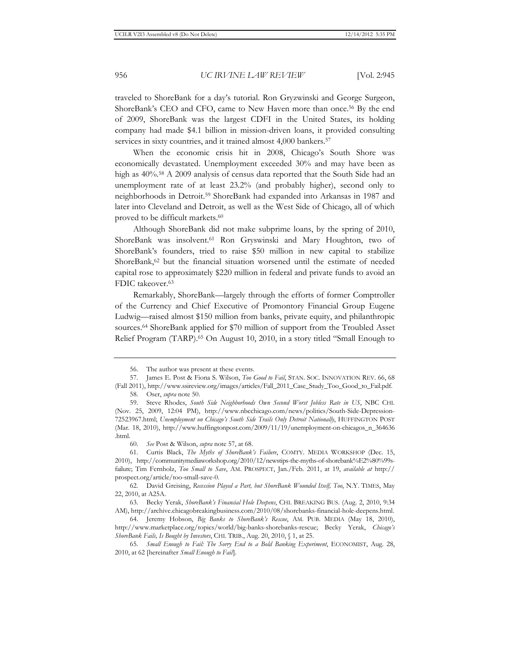traveled to ShoreBank for a day's tutorial. Ron Gryzwinski and George Surgeon, ShoreBank's CEO and CFO, came to New Haven more than once.56 By the end of 2009, ShoreBank was the largest CDFI in the United States, its holding company had made \$4.1 billion in mission-driven loans, it provided consulting services in sixty countries, and it trained almost 4,000 bankers.<sup>57</sup>

When the economic crisis hit in 2008, Chicago's South Shore was economically devastated. Unemployment exceeded 30% and may have been as high as  $40\%$ <sup>58</sup> A 2009 analysis of census data reported that the South Side had an unemployment rate of at least 23.2% (and probably higher), second only to neighborhoods in Detroit.59 ShoreBank had expanded into Arkansas in 1987 and later into Cleveland and Detroit, as well as the West Side of Chicago, all of which proved to be difficult markets.<sup>60</sup>

Although ShoreBank did not make subprime loans, by the spring of 2010, ShoreBank was insolvent.<sup>61</sup> Ron Gryswinski and Mary Houghton, two of ShoreBank's founders, tried to raise \$50 million in new capital to stabilize ShoreBank,<sup>62</sup> but the financial situation worsened until the estimate of needed capital rose to approximately \$220 million in federal and private funds to avoid an FDIC takeover.<sup>63</sup>

Remarkably, ShoreBank—largely through the efforts of former Comptroller of the Currency and Chief Executive of Promontory Financial Group Eugene Ludwig—raised almost \$150 million from banks, private equity, and philanthropic sources.64 ShoreBank applied for \$70 million of support from the Troubled Asset Relief Program (TARP).<sup>65</sup> On August 10, 2010, in a story titled "Small Enough to

<sup>56.</sup> The author was present at these events.

<sup>57.</sup> James E. Post & Fiona S. Wilson, *Too Good to Fail*, STAN. SOC. INNOVATION REV. 66, 68 (Fall 2011), http://www.ssireview.org/images/articles/Fall\_2011\_Case\_Study\_Too\_Good\_to\_Fail.pdf. 58. Oser, *supra* note 50.

<sup>59.</sup> Steve Rhodes, *South Side Neighborhoods Own Second Worst Jobless Rate in US*, NBC CHI. (Nov. 25, 2009, 12:04 PM), http://www.nbcchicago.com/news/politics/South-Side-Depression-72523967.html; *Unemployment on Chicago's South Side Trails Only Detroit Nationally*, HUFFINGTON POST (Mar. 18, 2010), http://www.huffingtonpost.com/2009/11/19/unemployment-on-chicagos\_n\_364636 .html.

<sup>60.</sup> *See* Post & Wilson, *supra* note 57, at 68.

<sup>61.</sup> Curtis Black, *The Myths of ShoreBank's Failure*, COMTY. MEDIA WORKSHOP (Dec. 15, 2010), http://communitymediaworkshop.org/2010/12/newstips-the-myths-of-shorebank%E2%80%99sfailure; Tim Fernholz, *Too Small to Save*, AM. PROSPECT, Jan./Feb. 2011, at 19, *available at* http:// prospect.org/article/too-small-save-0.

<sup>62.</sup> David Greising, *Recession Played a Part, but ShoreBank Wounded Itself, Too*, N.Y. TIMES, May 22, 2010, at A25A.

<sup>63.</sup> Becky Yerak, *ShoreBank's Financial Hole Deepens*, CHI. BREAKING BUS. (Aug. 2, 2010, 9:34 AM), http://archive.chicagobreakingbusiness.com/2010/08/shorebanks-financial-hole-deepens.html.

<sup>64.</sup> Jeremy Hobson, *Big Banks to ShoreBank's Rescue*, AM. PUB. MEDIA (May 18, 2010), http://www.marketplace.org/topics/world/big-banks-shorebanks-rescue; Becky Yerak, *Chicago's ShoreBank Fails, Is Bought by Investors*, CHI. TRIB., Aug. 20, 2010, § 1, at 25.

<sup>65.</sup> *Small Enough to Fail: The Sorry End to a Bold Banking Experiment*, ECONOMIST, Aug. 28, 2010, at 62 [hereinafter *Small Enough to Fail*].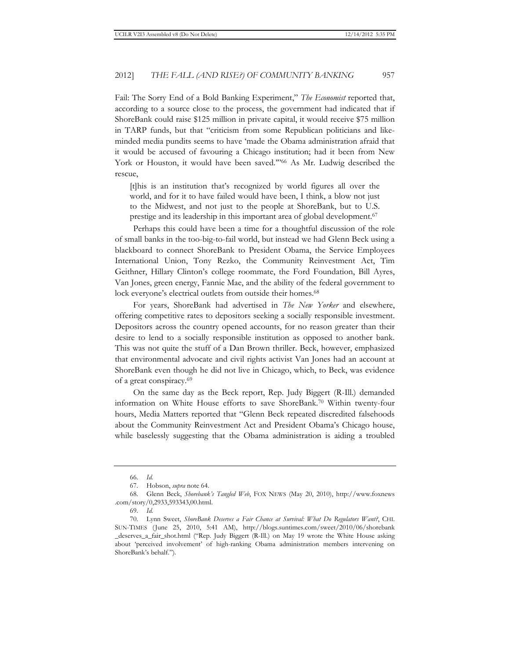Fail: The Sorry End of a Bold Banking Experiment," *The Economist* reported that, according to a source close to the process, the government had indicated that if ShoreBank could raise \$125 million in private capital, it would receive \$75 million in TARP funds, but that "criticism from some Republican politicians and likeminded media pundits seems to have 'made the Obama administration afraid that it would be accused of favouring a Chicago institution; had it been from New York or Houston, it would have been saved."<sup>66</sup> As Mr. Ludwig described the rescue,

[t]his is an institution that's recognized by world figures all over the world, and for it to have failed would have been, I think, a blow not just to the Midwest, and not just to the people at ShoreBank, but to U.S. prestige and its leadership in this important area of global development.67

Perhaps this could have been a time for a thoughtful discussion of the role of small banks in the too-big-to-fail world, but instead we had Glenn Beck using a blackboard to connect ShoreBank to President Obama, the Service Employees International Union, Tony Rezko, the Community Reinvestment Act, Tim Geithner, Hillary Clinton's college roommate, the Ford Foundation, Bill Ayres, Van Jones, green energy, Fannie Mae, and the ability of the federal government to lock everyone's electrical outlets from outside their homes.<sup>68</sup>

For years, ShoreBank had advertised in *The New Yorker* and elsewhere, offering competitive rates to depositors seeking a socially responsible investment. Depositors across the country opened accounts, for no reason greater than their desire to lend to a socially responsible institution as opposed to another bank. This was not quite the stuff of a Dan Brown thriller. Beck, however, emphasized that environmental advocate and civil rights activist Van Jones had an account at ShoreBank even though he did not live in Chicago, which, to Beck, was evidence of a great conspiracy.69

On the same day as the Beck report, Rep. Judy Biggert (R-Ill.) demanded information on White House efforts to save ShoreBank.70 Within twenty-four hours, Media Matters reported that "Glenn Beck repeated discredited falsehoods about the Community Reinvestment Act and President Obama's Chicago house, while baselessly suggesting that the Obama administration is aiding a troubled

<sup>66.</sup> *Id.*

<sup>67.</sup> Hobson, *supra* note 64.

<sup>68.</sup> Glenn Beck, *Shorebank's Tangled Web*, FOX NEWS (May 20, 2010), http://www.foxnews .com/story/0,2933,593343,00.html.

<sup>69.</sup> *Id.*

<sup>70.</sup> Lynn Sweet, *ShoreBank Deserves a Fair Chance at Survival: What Do Regulators Want?*, CHI. SUN-TIMES (June 25, 2010, 5:41 AM), http://blogs.suntimes.com/sweet/2010/06/shorebank \_deserves\_a\_fair\_shot.html ("Rep. Judy Biggert (R-Ill.) on May 19 wrote the White House asking about 'perceived involvement' of high-ranking Obama administration members intervening on ShoreBank's behalf.").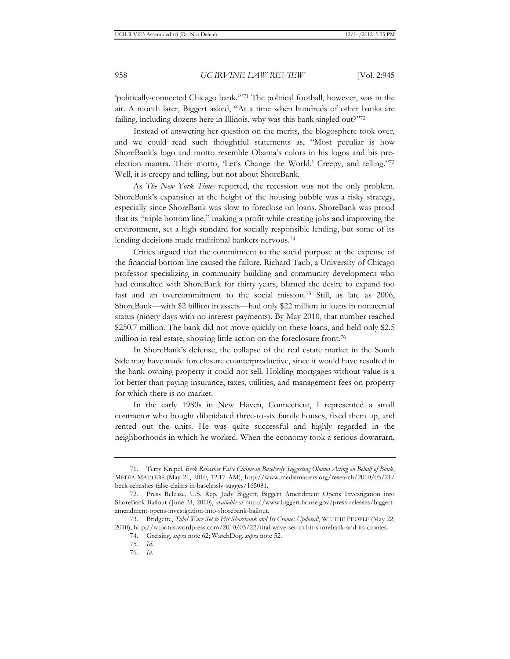'politically-connected Chicago bank.'"71 The political football, however, was in the air. A month later, Biggert asked, "At a time when hundreds of other banks are failing, including dozens here in Illinois, why was this bank singled out?"72

Instead of answering her question on the merits, the blogosphere took over, and we could read such thoughtful statements as, "Most peculiar is how ShoreBank's logo and motto resemble Obama's colors in his logos and his preelection mantra. Their motto, 'Let's Change the World.' Creepy, and telling."73 Well, it is creepy and telling, but not about ShoreBank.

As *The New York Times* reported, the recession was not the only problem. ShoreBank's expansion at the height of the housing bubble was a risky strategy, especially since ShoreBank was slow to foreclose on loans. ShoreBank was proud that its "triple bottom line," making a profit while creating jobs and improving the environment, set a high standard for socially responsible lending, but some of its lending decisions made traditional bankers nervous.<sup>74</sup>

Critics argued that the commitment to the social purpose at the expense of the financial bottom line caused the failure. Richard Taub, a University of Chicago professor specializing in community building and community development who had consulted with ShoreBank for thirty years, blamed the desire to expand too fast and an overcommitment to the social mission.75 Still, as late as 2006, ShoreBank—with \$2 billion in assets—had only \$22 million in loans in nonaccrual status (ninety days with no interest payments). By May 2010, that number reached \$250.7 million. The bank did not move quickly on these loans, and held only \$2.5 million in real estate, showing little action on the foreclosure front.76

In ShoreBank's defense, the collapse of the real estate market in the South Side may have made foreclosure counterproductive, since it would have resulted in the bank owning property it could not sell. Holding mortgages without value is a lot better than paying insurance, taxes, utilities, and management fees on property for which there is no market.

In the early 1980s in New Haven, Connecticut, I represented a small contractor who bought dilapidated three-to-six family houses, fixed them up, and rented out the units. He was quite successful and highly regarded in the neighborhoods in which he worked. When the economy took a serious downturn,

<sup>71.</sup> Terry Krepel, *Beck Rehashes False Claims in Baselessly Suggesting Obama Acting on Behalf of Bank*, MEDIA MATTERS (May 21, 2010, 12:17 AM), http://www.mediamatters.org/research/2010/05/21/ beck-rehashes-false-claims-in-baselessly-sugges/165081.

<sup>72.</sup> Press Release, U.S. Rep. Judy Biggert, Biggert Amendment Opens Investigation into ShoreBank Bailout (June 24, 2010), *available at* http://www.biggert.house.gov/press-releases/biggertamendment-opens-investigation-into-shorebank-bailout.

<sup>73.</sup> Bridgette, *Tidal Wave Set to Hit Shorebank and Its Cronies Updated!*, WE THE PEOPLE (May 22, 2010), http://wtpotus.wordpress.com/2010/05/22/tital-wave-set-to-hit-shorebank-and-its-cronies.

<sup>74.</sup> Greising, *supra* note 62; WatchDog, *supra* note 52.

<sup>75.</sup> *Id.*

<sup>76.</sup> *Id.*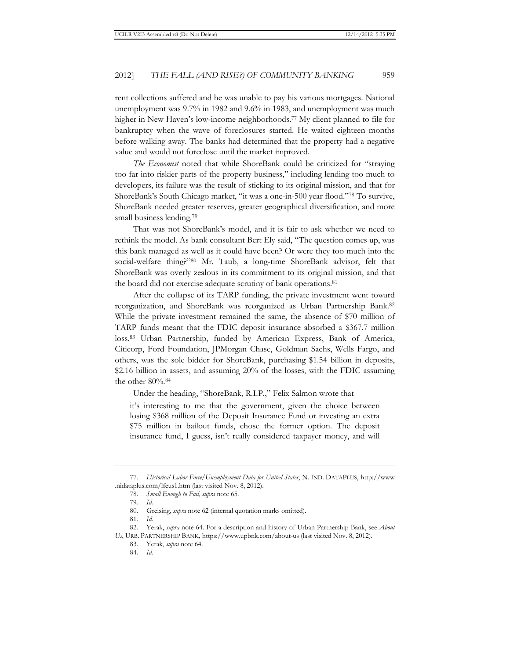rent collections suffered and he was unable to pay his various mortgages. National unemployment was 9.7% in 1982 and 9.6% in 1983, and unemployment was much higher in New Haven's low-income neighborhoods.<sup>77</sup> My client planned to file for bankruptcy when the wave of foreclosures started. He waited eighteen months before walking away. The banks had determined that the property had a negative value and would not foreclose until the market improved.

*The Economist* noted that while ShoreBank could be criticized for "straying too far into riskier parts of the property business," including lending too much to developers, its failure was the result of sticking to its original mission, and that for ShoreBank's South Chicago market, "it was a one-in-500 year flood."78 To survive, ShoreBank needed greater reserves, greater geographical diversification, and more small business lending.<sup>79</sup>

That was not ShoreBank's model, and it is fair to ask whether we need to rethink the model. As bank consultant Bert Ely said, "The question comes up, was this bank managed as well as it could have been? Or were they too much into the social-welfare thing?"80 Mr. Taub, a long-time ShoreBank advisor, felt that ShoreBank was overly zealous in its commitment to its original mission, and that the board did not exercise adequate scrutiny of bank operations.<sup>81</sup>

After the collapse of its TARP funding, the private investment went toward reorganization, and ShoreBank was reorganized as Urban Partnership Bank.82 While the private investment remained the same, the absence of \$70 million of TARP funds meant that the FDIC deposit insurance absorbed a \$367.7 million loss.83 Urban Partnership, funded by American Express, Bank of America, Citicorp, Ford Foundation, JPMorgan Chase, Goldman Sachs, Wells Fargo, and others, was the sole bidder for ShoreBank, purchasing \$1.54 billion in deposits, \$2.16 billion in assets, and assuming 20% of the losses, with the FDIC assuming the other 80%.84

Under the heading, "ShoreBank, R.I.P.," Felix Salmon wrote that

it's interesting to me that the government, given the choice between losing \$368 million of the Deposit Insurance Fund or investing an extra \$75 million in bailout funds, chose the former option. The deposit insurance fund, I guess, isn't really considered taxpayer money, and will

81. *Id.*

<sup>77.</sup> *Historical Labor Force/Unemployment Data for United States*, N. IND. DATAPLUS, http://www .nidataplus.com/lfeus1.htm (last visited Nov. 8, 2012).

<sup>78.</sup> *Small Enough to Fail*, *supra* note 65.

<sup>79.</sup> *Id.*

<sup>80.</sup> Greising, *supra* note 62 (internal quotation marks omitted).

<sup>82.</sup> Yerak, *supra* note 64. For a description and history of Urban Partnership Bank, see *About Us*, URB. PARTNERSHIP BANK, https://www.upbnk.com/about-us (last visited Nov. 8, 2012).

<sup>83.</sup> Yerak, *supra* note 64.

<sup>84.</sup> *Id.*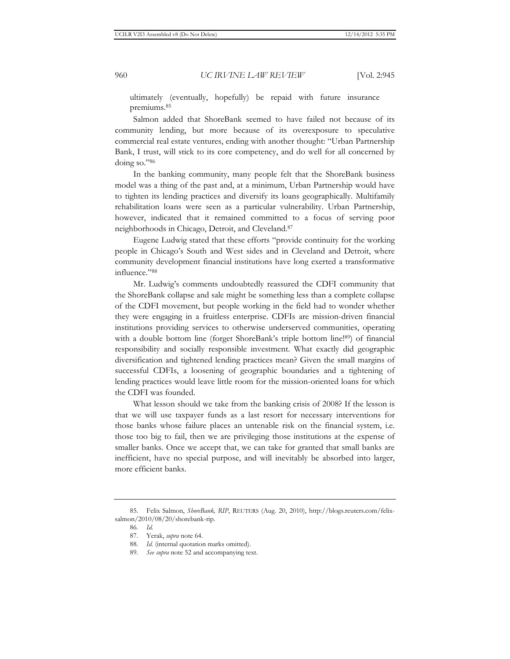ultimately (eventually, hopefully) be repaid with future insurance premiums.85

Salmon added that ShoreBank seemed to have failed not because of its community lending, but more because of its overexposure to speculative commercial real estate ventures, ending with another thought: "Urban Partnership Bank, I trust, will stick to its core competency, and do well for all concerned by doing so."86

In the banking community, many people felt that the ShoreBank business model was a thing of the past and, at a minimum, Urban Partnership would have to tighten its lending practices and diversify its loans geographically. Multifamily rehabilitation loans were seen as a particular vulnerability. Urban Partnership, however, indicated that it remained committed to a focus of serving poor neighborhoods in Chicago, Detroit, and Cleveland.87

Eugene Ludwig stated that these efforts "provide continuity for the working people in Chicago's South and West sides and in Cleveland and Detroit, where community development financial institutions have long exerted a transformative influence."88

Mr. Ludwig's comments undoubtedly reassured the CDFI community that the ShoreBank collapse and sale might be something less than a complete collapse of the CDFI movement, but people working in the field had to wonder whether they were engaging in a fruitless enterprise. CDFIs are mission-driven financial institutions providing services to otherwise underserved communities, operating with a double bottom line (forget ShoreBank's triple bottom line!<sup>89</sup>) of financial responsibility and socially responsible investment. What exactly did geographic diversification and tightened lending practices mean? Given the small margins of successful CDFIs, a loosening of geographic boundaries and a tightening of lending practices would leave little room for the mission-oriented loans for which the CDFI was founded.

What lesson should we take from the banking crisis of 2008? If the lesson is that we will use taxpayer funds as a last resort for necessary interventions for those banks whose failure places an untenable risk on the financial system, i.e. those too big to fail, then we are privileging those institutions at the expense of smaller banks. Once we accept that, we can take for granted that small banks are inefficient, have no special purpose, and will inevitably be absorbed into larger, more efficient banks.

<sup>85.</sup> Felix Salmon, *ShoreBank, RIP*, REUTERS (Aug. 20, 2010), http://blogs.reuters.com/felixsalmon/2010/08/20/shorebank-rip.

<sup>86.</sup> *Id.*

<sup>87.</sup> Yerak, *supra* note 64.

<sup>88.</sup> *Id.* (internal quotation marks omitted).

<sup>89.</sup> *See supra* note 52 and accompanying text.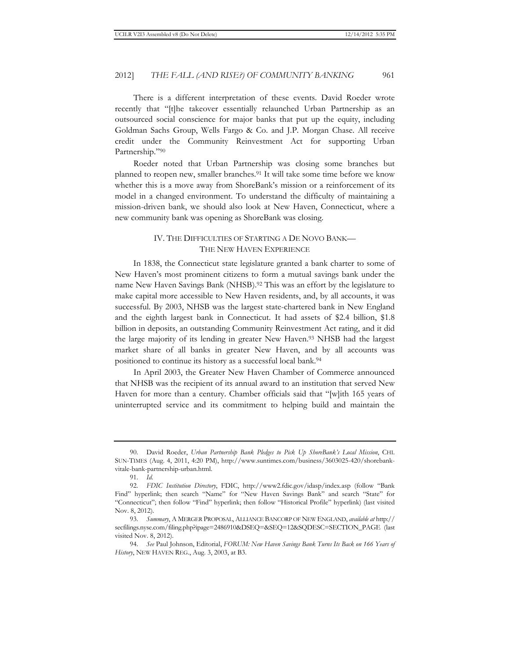There is a different interpretation of these events. David Roeder wrote recently that "[t]he takeover essentially relaunched Urban Partnership as an outsourced social conscience for major banks that put up the equity, including Goldman Sachs Group, Wells Fargo & Co. and J.P. Morgan Chase. All receive credit under the Community Reinvestment Act for supporting Urban Partnership."90

Roeder noted that Urban Partnership was closing some branches but planned to reopen new, smaller branches.91 It will take some time before we know whether this is a move away from ShoreBank's mission or a reinforcement of its model in a changed environment. To understand the difficulty of maintaining a mission-driven bank, we should also look at New Haven, Connecticut, where a new community bank was opening as ShoreBank was closing.

# IV. THE DIFFICULTIES OF STARTING A DE NOVO BANK— THE NEW HAVEN EXPERIENCE

In 1838, the Connecticut state legislature granted a bank charter to some of New Haven's most prominent citizens to form a mutual savings bank under the name New Haven Savings Bank (NHSB).<sup>92</sup> This was an effort by the legislature to make capital more accessible to New Haven residents, and, by all accounts, it was successful. By 2003, NHSB was the largest state-chartered bank in New England and the eighth largest bank in Connecticut. It had assets of \$2.4 billion, \$1.8 billion in deposits, an outstanding Community Reinvestment Act rating, and it did the large majority of its lending in greater New Haven.93 NHSB had the largest market share of all banks in greater New Haven, and by all accounts was positioned to continue its history as a successful local bank.94

In April 2003, the Greater New Haven Chamber of Commerce announced that NHSB was the recipient of its annual award to an institution that served New Haven for more than a century. Chamber officials said that "[w]ith 165 years of uninterrupted service and its commitment to helping build and maintain the

<sup>90.</sup> David Roeder, *Urban Partnership Bank Pledges to Pick Up ShoreBank's Local Mission*, CHI. SUN-TIMES (Aug. 4, 2011, 4:20 PM), http://www.suntimes.com/business/3603025-420/shorebankvitale-bank-partnership-urban.html.

<sup>91.</sup> *Id.*

<sup>92.</sup> *FDIC Institution Directory*, FDIC, http://www2.fdic.gov/idasp/index.asp (follow "Bank Find" hyperlink; then search "Name" for "New Haven Savings Bank" and search "State" for "Connecticut"; then follow "Find" hyperlink; then follow "Historical Profile" hyperlink) (last visited Nov. 8, 2012).

<sup>93.</sup> *Summary*, A MERGER PROPOSAL, ALLIANCE BANCORP OF NEW ENGLAND, *available at* http:// secfilings.nyse.com/filing.php?ipage=2486910&DSEQ=&SEQ=12&SQDESC=SECTION\_PAGE (last visited Nov. 8, 2012).

<sup>94.</sup> *See* Paul Johnson, Editorial, *FORUM: New Haven Savings Bank Turns Its Back on 166 Years of History*, NEW HAVEN REG., Aug. 3, 2003, at B3.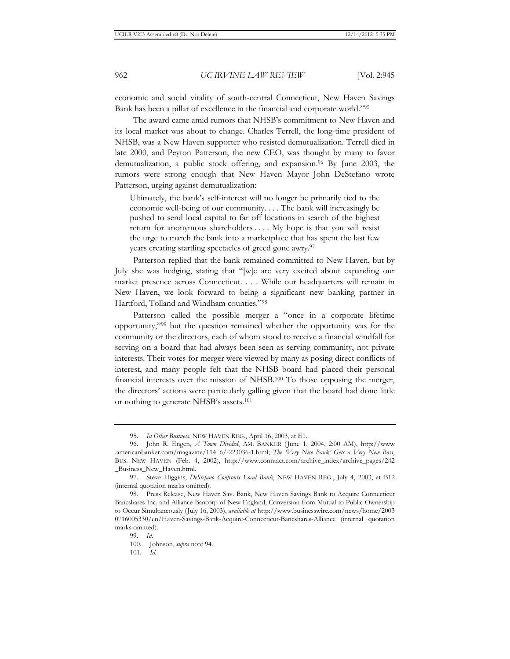economic and social vitality of south-central Connecticut, New Haven Savings Bank has been a pillar of excellence in the financial and corporate world."95

The award came amid rumors that NHSB's commitment to New Haven and its local market was about to change. Charles Terrell, the long-time president of NHSB, was a New Haven supporter who resisted demutualization. Terrell died in late 2000, and Peyton Patterson, the new CEO, was thought by many to favor demutualization, a public stock offering, and expansion.<sup>96</sup> By June 2003, the rumors were strong enough that New Haven Mayor John DeStefano wrote Patterson, urging against demutualization:

Ultimately, the bank's self-interest will no longer be primarily tied to the economic well-being of our community. . . . The bank will increasingly be pushed to send local capital to far off locations in search of the highest return for anonymous shareholders . . . . My hope is that you will resist the urge to march the bank into a marketplace that has spent the last few years creating startling spectacles of greed gone awry.<sup>97</sup>

Patterson replied that the bank remained committed to New Haven, but by July she was hedging, stating that "[w]e are very excited about expanding our market presence across Connecticut. . . . While our headquarters will remain in New Haven, we look forward to being a significant new banking partner in Hartford, Tolland and Windham counties."98

Patterson called the possible merger a "once in a corporate lifetime opportunity,"99 but the question remained whether the opportunity was for the community or the directors, each of whom stood to receive a financial windfall for serving on a board that had always been seen as serving community, not private interests. Their votes for merger were viewed by many as posing direct conflicts of interest, and many people felt that the NHSB board had placed their personal financial interests over the mission of NHSB.100 To those opposing the merger, the directors' actions were particularly galling given that the board had done little or nothing to generate NHSB's assets.101

101. *Id.*

<sup>95.</sup> *In Other Business*, NEW HAVEN REG., April 16, 2003, at E1.

<sup>96.</sup> John R. Engen, *A Town Divided*, AM. BANKER (June 1, 2004, 2:00 AM), http://www .americanbanker.com/magazine/114\_6/-223036-1.html; *The 'Very Nice Bank' Gets a Very New Boss*, BUS. NEW HAVEN (Feb. 4, 2002), http://www.conntact.com/archive\_index/archive\_pages/242 \_Business\_New\_Haven.html.

<sup>97.</sup> Steve Higgins, *DeStefano Confronts Local Bank*, NEW HAVEN REG., July 4, 2003, at B12 (internal quotation marks omitted).

<sup>98.</sup> Press Release, New Haven Sav. Bank, New Haven Savings Bank to Acquire Connecticut Bancshares Inc. and Alliance Bancorp of New England; Conversion from Mutual to Public Ownership to Occur Simultaneously (July 16, 2003), *available at* http://www.businesswire.com/news/home/2003 0716005330/en/Haven-Savings-Bank-Acquire-Connecticut-Bancshares-Alliance (internal quotation marks omitted).

<sup>99.</sup> *Id.*

<sup>100.</sup> Johnson, *supra* note 94.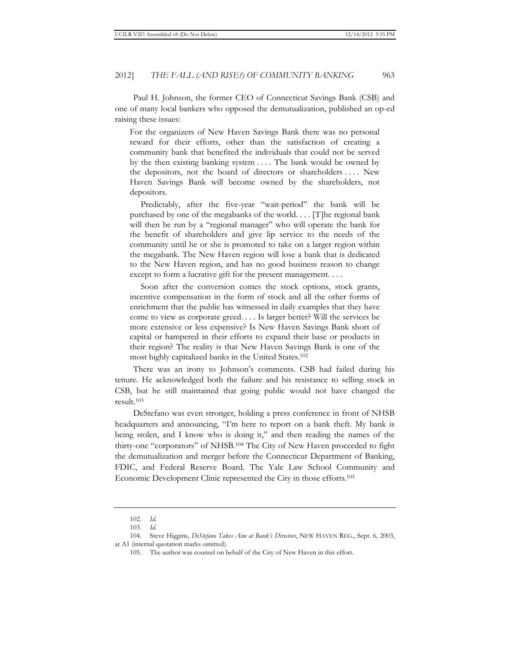Paul H. Johnson, the former CEO of Connecticut Savings Bank (CSB) and one of many local bankers who opposed the demutualization, published an op-ed raising these issues:

For the organizers of New Haven Savings Bank there was no personal reward for their efforts, other than the satisfaction of creating a community bank that benefited the individuals that could not be served by the then existing banking system . . . . The bank would be owned by the depositors, not the board of directors or shareholders . . . . New Haven Savings Bank will become owned by the shareholders, not depositors.

 Predictably, after the five-year "wait-period" the bank will be purchased by one of the megabanks of the world. . . . [T]he regional bank will then be run by a "regional manager" who will operate the bank for the benefit of shareholders and give lip service to the needs of the community until he or she is promoted to take on a larger region within the megabank. The New Haven region will lose a bank that is dedicated to the New Haven region, and has no good business reason to change except to form a lucrative gift for the present management. . . .

 Soon after the conversion comes the stock options, stock grants, incentive compensation in the form of stock and all the other forms of enrichment that the public has witnessed in daily examples that they have come to view as corporate greed. . . . Is larger better? Will the services be more extensive or less expensive? Is New Haven Savings Bank short of capital or hampered in their efforts to expand their base or products in their region? The reality is that New Haven Savings Bank is one of the most highly capitalized banks in the United States.102

There was an irony to Johnson's comments. CSB had failed during his tenure. He acknowledged both the failure and his resistance to selling stock in CSB, but he still maintained that going public would not have changed the result.103

DeStefano was even stronger, holding a press conference in front of NHSB headquarters and announcing, "I'm here to report on a bank theft. My bank is being stolen, and I know who is doing it," and then reading the names of the thirty-one "corporators" of NHSB.104 The City of New Haven proceeded to fight the demutualization and merger before the Connecticut Department of Banking, FDIC, and Federal Reserve Board. The Yale Law School Community and Economic Development Clinic represented the City in those efforts.105

<sup>102.</sup> *Id.*

<sup>103.</sup> *Id.*

<sup>104.</sup> Steve Higgins, *DeStefano Takes Aim at Bank's Directors*, NEW HAVEN REG., Sept. 6, 2003, at A1 (internal quotation marks omitted).

<sup>105.</sup> The author was counsel on behalf of the City of New Haven in this effort.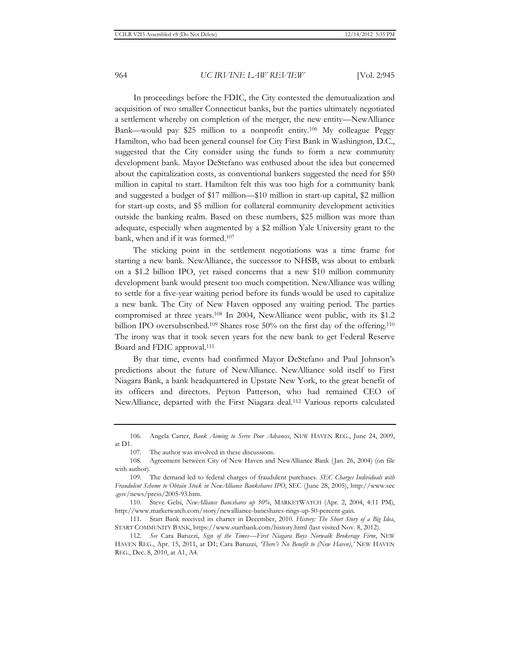In proceedings before the FDIC, the City contested the demutualization and acquisition of two smaller Connecticut banks, but the parties ultimately negotiated a settlement whereby on completion of the merger, the new entity—NewAlliance Bank—would pay \$25 million to a nonprofit entity.106 My colleague Peggy Hamilton, who had been general counsel for City First Bank in Washington, D.C., suggested that the City consider using the funds to form a new community development bank. Mayor DeStefano was enthused about the idea but concerned about the capitalization costs, as conventional bankers suggested the need for \$50 million in capital to start. Hamilton felt this was too high for a community bank and suggested a budget of \$17 million—\$10 million in start-up capital, \$2 million for start-up costs, and \$5 million for collateral community development activities outside the banking realm. Based on these numbers, \$25 million was more than adequate, especially when augmented by a \$2 million Yale University grant to the bank, when and if it was formed.107

The sticking point in the settlement negotiations was a time frame for starting a new bank. NewAlliance, the successor to NHSB, was about to embark on a \$1.2 billion IPO, yet raised concerns that a new \$10 million community development bank would present too much competition. NewAlliance was willing to settle for a five-year waiting period before its funds would be used to capitalize a new bank. The City of New Haven opposed any waiting period. The parties compromised at three years.108 In 2004, NewAlliance went public, with its \$1.2 billion IPO oversubscribed.<sup>109</sup> Shares rose 50% on the first day of the offering.<sup>110</sup> The irony was that it took seven years for the new bank to get Federal Reserve Board and FDIC approval.111

By that time, events had confirmed Mayor DeStefano and Paul Johnson's predictions about the future of NewAlliance. NewAlliance sold itself to First Niagara Bank, a bank headquartered in Upstate New York, to the great benefit of its officers and directors. Peyton Patterson, who had remained CEO of NewAlliance, departed with the First Niagara deal.112 Various reports calculated

<sup>106.</sup> Angela Carter, *Bank Aiming to Serve Poor Advances*, NEW HAVEN REG., June 24, 2009, at D1.

<sup>107.</sup> The author was involved in these discussions.

<sup>108.</sup> Agreement between City of New Haven and NewAlliance Bank (Jan. 26, 2004) (on file with author).

<sup>109.</sup> The demand led to federal charges of fraudulent purchases. *SEC Charges Individuals with Fraudulent Scheme to Obtain Stock in NewAlliance Bankshares IPO*, SEC (June 28, 2005), http://www.sec .gov/news/press/2005-93.htm.

<sup>110.</sup> Steve Gelsi, *NewAlliance Bancshares up 50%*, MARKETWATCH (Apr. 2, 2004, 4:11 PM), http://www.marketwatch.com/story/newalliance-bancshares-rings-up-50-percent-gain.

<sup>111.</sup> Start Bank received its charter in December, 2010. *History: The Short Story of a Big Idea*, START COMMUNITY BANK, https://www.startbank.com/history.html (last visited Nov. 8, 2012).

<sup>112.</sup> *See* Cara Baruzzi, *Sign of the Times—First Niagara Buys Norwalk Brokerage Firm*, NEW HAVEN REG., Apr. 15, 2011, at D1; Cara Baruzzi, *'There's No Benefit to (New Haven)*,*'* NEW HAVEN REG., Dec. 8, 2010, at A1, A4.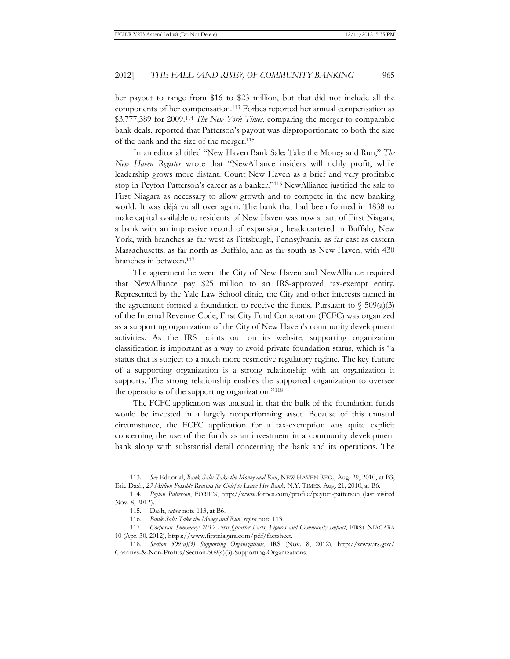her payout to range from \$16 to \$23 million, but that did not include all the components of her compensation.113 Forbes reported her annual compensation as \$3,777,389 for 2009.114 *The New York Times*, comparing the merger to comparable bank deals, reported that Patterson's payout was disproportionate to both the size of the bank and the size of the merger.115

In an editorial titled "New Haven Bank Sale: Take the Money and Run," *The New Haven Register* wrote that "NewAlliance insiders will richly profit, while leadership grows more distant. Count New Haven as a brief and very profitable stop in Peyton Patterson's career as a banker."116 NewAlliance justified the sale to First Niagara as necessary to allow growth and to compete in the new banking world. It was déjà vu all over again. The bank that had been formed in 1838 to make capital available to residents of New Haven was now a part of First Niagara, a bank with an impressive record of expansion, headquartered in Buffalo, New York, with branches as far west as Pittsburgh, Pennsylvania, as far east as eastern Massachusetts, as far north as Buffalo, and as far south as New Haven, with 430 branches in between.117

The agreement between the City of New Haven and NewAlliance required that NewAlliance pay \$25 million to an IRS-approved tax-exempt entity. Represented by the Yale Law School clinic, the City and other interests named in the agreement formed a foundation to receive the funds. Pursuant to  $\sqrt{509(a)(3)}$ of the Internal Revenue Code, First City Fund Corporation (FCFC) was organized as a supporting organization of the City of New Haven's community development activities. As the IRS points out on its website, supporting organization classification is important as a way to avoid private foundation status, which is "a status that is subject to a much more restrictive regulatory regime. The key feature of a supporting organization is a strong relationship with an organization it supports. The strong relationship enables the supported organization to oversee the operations of the supporting organization."118

The FCFC application was unusual in that the bulk of the foundation funds would be invested in a largely nonperforming asset. Because of this unusual circumstance, the FCFC application for a tax-exemption was quite explicit concerning the use of the funds as an investment in a community development bank along with substantial detail concerning the bank and its operations. The

<sup>113.</sup> *See* Editorial, *Bank Sale: Take the Money and Run*, NEW HAVEN REG., Aug. 29, 2010, at B3; Eric Dash, *23 Million Possible Reasons for Chief to Leave Her Bank*, N.Y. TIMES, Aug. 21, 2010, at B6.

<sup>114.</sup> *Peyton Patterson*, FORBES, http://www.forbes.com/profile/peyton-patterson (last visited Nov. 8, 2012).

<sup>115.</sup> Dash, *supra* note 113, at B6.

<sup>116.</sup> *Bank Sale: Take the Money and Run*, *supra* note 113.

<sup>117.</sup> *Corporate Summary: 2012 First Quarter Facts, Figures and Community Impact*, FIRST NIAGARA 10 (Apr. 30, 2012), https://www.firstniagara.com/pdf/factsheet*.*

<sup>118.</sup> *Section 509(a)(3) Supporting Organizations*, IRS (Nov. 8, 2012), http://www.irs.gov/ Charities-&-Non-Profits/Section-509(a)(3)-Supporting-Organizations.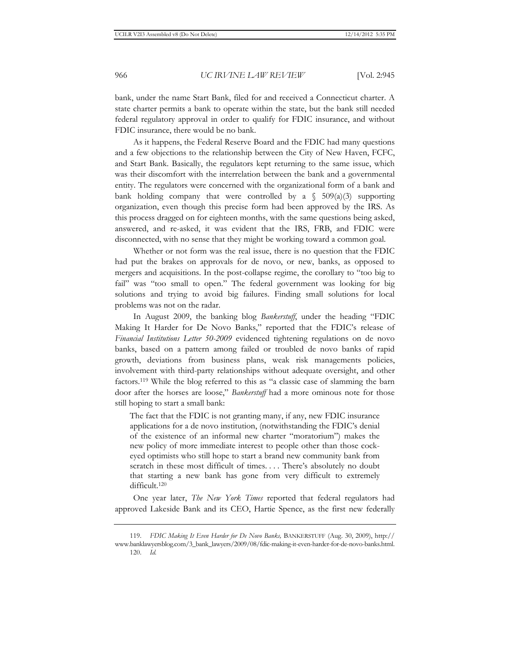bank, under the name Start Bank, filed for and received a Connecticut charter. A state charter permits a bank to operate within the state, but the bank still needed federal regulatory approval in order to qualify for FDIC insurance, and without FDIC insurance, there would be no bank.

As it happens, the Federal Reserve Board and the FDIC had many questions and a few objections to the relationship between the City of New Haven, FCFC, and Start Bank. Basically, the regulators kept returning to the same issue, which was their discomfort with the interrelation between the bank and a governmental entity. The regulators were concerned with the organizational form of a bank and bank holding company that were controlled by a  $\int$  509(a)(3) supporting organization, even though this precise form had been approved by the IRS. As this process dragged on for eighteen months, with the same questions being asked, answered, and re-asked, it was evident that the IRS, FRB, and FDIC were disconnected, with no sense that they might be working toward a common goal.

Whether or not form was the real issue, there is no question that the FDIC had put the brakes on approvals for de novo, or new, banks, as opposed to mergers and acquisitions. In the post-collapse regime, the corollary to "too big to fail" was "too small to open." The federal government was looking for big solutions and trying to avoid big failures. Finding small solutions for local problems was not on the radar.

In August 2009, the banking blog *Bankerstuff*, under the heading "FDIC Making It Harder for De Novo Banks," reported that the FDIC's release of *Financial Institutions Letter 50-2009* evidenced tightening regulations on de novo banks, based on a pattern among failed or troubled de novo banks of rapid growth, deviations from business plans, weak risk managements policies, involvement with third-party relationships without adequate oversight, and other factors.119 While the blog referred to this as "a classic case of slamming the barn door after the horses are loose," *Bankerstuff* had a more ominous note for those still hoping to start a small bank:

The fact that the FDIC is not granting many, if any, new FDIC insurance applications for a de novo institution, (notwithstanding the FDIC's denial of the existence of an informal new charter "moratorium") makes the new policy of more immediate interest to people other than those cockeyed optimists who still hope to start a brand new community bank from scratch in these most difficult of times. . . . There's absolutely no doubt that starting a new bank has gone from very difficult to extremely difficult.120

One year later, *The New York Times* reported that federal regulators had approved Lakeside Bank and its CEO, Hartie Spence, as the first new federally

120. *Id.*

<sup>119.</sup> *FDIC Making It Even Harder for De Novo Banks,* BANKERSTUFF (Aug. 30, 2009), http:// www.banklawyersblog.com/3\_bank\_lawyers/2009/08/fdic-making-it-even-harder-for-de-novo-banks.html.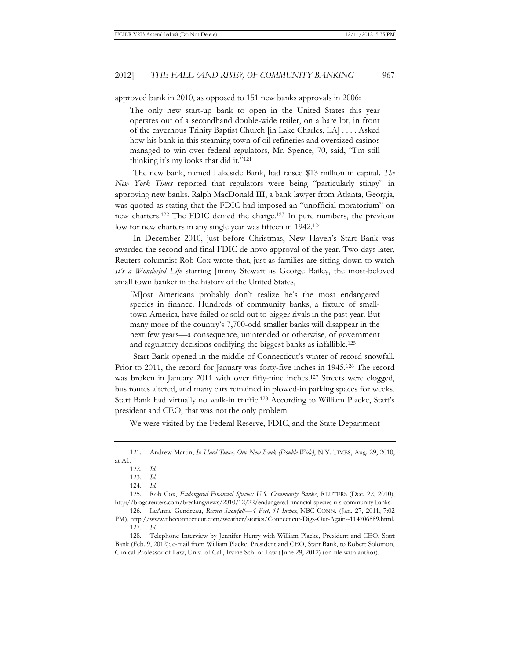approved bank in 2010, as opposed to 151 new banks approvals in 2006:

The only new start-up bank to open in the United States this year operates out of a secondhand double-wide trailer, on a bare lot, in front of the cavernous Trinity Baptist Church [in Lake Charles, LA] . . . . Asked how his bank in this steaming town of oil refineries and oversized casinos managed to win over federal regulators, Mr. Spence, 70, said, "I'm still thinking it's my looks that did it."121

The new bank, named Lakeside Bank, had raised \$13 million in capital. *The New York Times* reported that regulators were being "particularly stingy" in approving new banks. Ralph MacDonald III, a bank lawyer from Atlanta, Georgia, was quoted as stating that the FDIC had imposed an "unofficial moratorium" on new charters.122 The FDIC denied the charge.123 In pure numbers, the previous low for new charters in any single year was fifteen in 1942.124

In December 2010, just before Christmas, New Haven's Start Bank was awarded the second and final FDIC de novo approval of the year. Two days later, Reuters columnist Rob Cox wrote that, just as families are sitting down to watch *It's a Wonderful Life* starring Jimmy Stewart as George Bailey, the most-beloved small town banker in the history of the United States,

[M]ost Americans probably don't realize he's the most endangered species in finance. Hundreds of community banks, a fixture of smalltown America, have failed or sold out to bigger rivals in the past year. But many more of the country's 7,700-odd smaller banks will disappear in the next few years—a consequence, unintended or otherwise, of government and regulatory decisions codifying the biggest banks as infallible.125

Start Bank opened in the middle of Connecticut's winter of record snowfall. Prior to 2011, the record for January was forty-five inches in 1945.126 The record was broken in January 2011 with over fifty-nine inches.127 Streets were clogged, bus routes altered, and many cars remained in plowed-in parking spaces for weeks. Start Bank had virtually no walk-in traffic.128 According to William Placke, Start's president and CEO, that was not the only problem:

We were visited by the Federal Reserve, FDIC, and the State Department

128. Telephone Interview by Jennifer Henry with William Placke, President and CEO, Start Bank (Feb. 9, 2012); e-mail from William Placke, President and CEO, Start Bank, to Robert Solomon, Clinical Professor of Law, Univ. of Cal., Irvine Sch. of Law (June 29, 2012) (on file with author).

<sup>121.</sup> Andrew Martin, *In Hard Times, One New Bank (Double-Wide)*, N.Y. TIMES, Aug. 29, 2010, at A1.

<sup>122.</sup> *Id.*

<sup>123.</sup> *Id.*

<sup>124.</sup> *Id.*

<sup>125.</sup> Rob Cox, *Endangered Financial Species: U.S. Community Banks*, REUTERS (Dec. 22, 2010), http://blogs.reuters.com/breakingviews/2010/12/22/endangered-financial-species-u-s-community-banks.

<sup>126.</sup> LeAnne Gendreau, *Record Snowfall—4 Feet, 11 Inches*, NBC CONN. (Jan. 27, 2011, 7:02 PM), http://www.nbcconnecticut.com/weather/stories/Connecticut-Digs-Out-Again--114706889.html. 127. *Id.*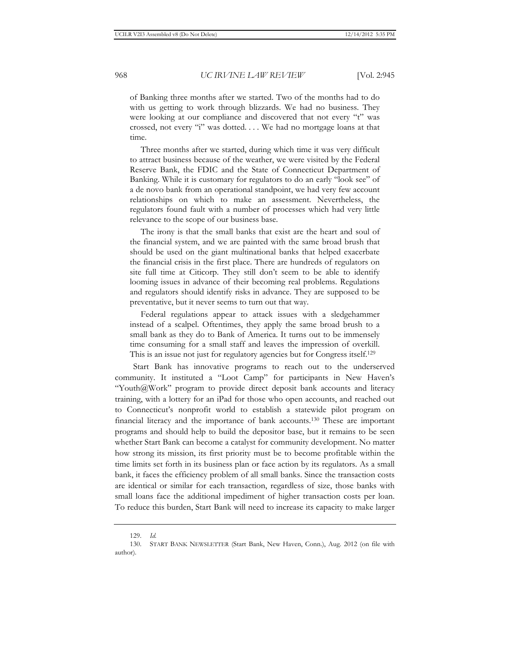of Banking three months after we started. Two of the months had to do with us getting to work through blizzards. We had no business. They were looking at our compliance and discovered that not every "t" was crossed, not every "i" was dotted. . . . We had no mortgage loans at that time.

 Three months after we started, during which time it was very difficult to attract business because of the weather, we were visited by the Federal Reserve Bank, the FDIC and the State of Connecticut Department of Banking. While it is customary for regulators to do an early "look see" of a de novo bank from an operational standpoint, we had very few account relationships on which to make an assessment. Nevertheless, the regulators found fault with a number of processes which had very little relevance to the scope of our business base.

 The irony is that the small banks that exist are the heart and soul of the financial system, and we are painted with the same broad brush that should be used on the giant multinational banks that helped exacerbate the financial crisis in the first place. There are hundreds of regulators on site full time at Citicorp. They still don't seem to be able to identify looming issues in advance of their becoming real problems. Regulations and regulators should identify risks in advance. They are supposed to be preventative, but it never seems to turn out that way.

 Federal regulations appear to attack issues with a sledgehammer instead of a scalpel. Oftentimes, they apply the same broad brush to a small bank as they do to Bank of America. It turns out to be immensely time consuming for a small staff and leaves the impression of overkill. This is an issue not just for regulatory agencies but for Congress itself.<sup>129</sup>

Start Bank has innovative programs to reach out to the underserved community. It instituted a "Loot Camp" for participants in New Haven's "Youth@Work" program to provide direct deposit bank accounts and literacy training, with a lottery for an iPad for those who open accounts, and reached out to Connecticut's nonprofit world to establish a statewide pilot program on financial literacy and the importance of bank accounts.130 These are important programs and should help to build the depositor base, but it remains to be seen whether Start Bank can become a catalyst for community development. No matter how strong its mission, its first priority must be to become profitable within the time limits set forth in its business plan or face action by its regulators. As a small bank, it faces the efficiency problem of all small banks. Since the transaction costs are identical or similar for each transaction, regardless of size, those banks with small loans face the additional impediment of higher transaction costs per loan. To reduce this burden, Start Bank will need to increase its capacity to make larger

<sup>129.</sup> *Id.*

<sup>130.</sup> START BANK NEWSLETTER (Start Bank, New Haven, Conn.), Aug. 2012 (on file with author).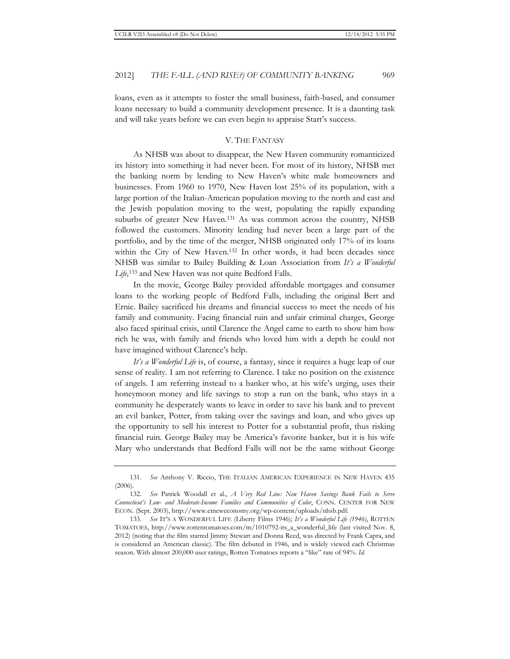loans, even as it attempts to foster the small business, faith-based, and consumer loans necessary to build a community development presence. It is a daunting task and will take years before we can even begin to appraise Start's success.

#### V. THE FANTASY

As NHSB was about to disappear, the New Haven community romanticized its history into something it had never been. For most of its history, NHSB met the banking norm by lending to New Haven's white male homeowners and businesses. From 1960 to 1970, New Haven lost 25% of its population, with a large portion of the Italian-American population moving to the north and east and the Jewish population moving to the west, populating the rapidly expanding suburbs of greater New Haven.131 As was common across the country, NHSB followed the customers. Minority lending had never been a large part of the portfolio, and by the time of the merger, NHSB originated only 17% of its loans within the City of New Haven.<sup>132</sup> In other words, it had been decades since NHSB was similar to Bailey Building & Loan Association from *It's a Wonderful Life,*133 and New Haven was not quite Bedford Falls.

In the movie, George Bailey provided affordable mortgages and consumer loans to the working people of Bedford Falls, including the original Bert and Ernie. Bailey sacrificed his dreams and financial success to meet the needs of his family and community. Facing financial ruin and unfair criminal charges, George also faced spiritual crisis, until Clarence the Angel came to earth to show him how rich he was, with family and friends who loved him with a depth he could not have imagined without Clarence's help.

*It's a Wonderful Life* is, of course, a fantasy, since it requires a huge leap of our sense of reality. I am not referring to Clarence. I take no position on the existence of angels. I am referring instead to a banker who, at his wife's urging, uses their honeymoon money and life savings to stop a run on the bank, who stays in a community he desperately wants to leave in order to save his bank and to prevent an evil banker, Potter, from taking over the savings and loan, and who gives up the opportunity to sell his interest to Potter for a substantial profit, thus risking financial ruin. George Bailey may be America's favorite banker, but it is his wife Mary who understands that Bedford Falls will not be the same without George

<sup>131.</sup> *See* Anthony V. Riccio, THE ITALIAN AMERICAN EXPERIENCE IN NEW HAVEN 435 (2006).

<sup>132.</sup> *See* Patrick Woodall et al., *A Very Red Line: New Haven Savings Bank Fails to Serve Connecticut's Low- and Moderate-Income Families and Communities of Color*, CONN. CENTER FOR NEW ECON. (Sept. 2003), http://www.ctneweconomy.org/wp-content/uploads/nhsb.pdf.

<sup>133.</sup> *See* IT'S A WONDERFUL LIFE (Liberty Films 1946); *It's a Wonderful Life (1946)*, ROTTEN TOMATOES, http://www.rottentomatoes.com/m/1010792-its\_a\_wonderful\_life (last visited Nov. 8, 2012) (noting that the film starred Jimmy Stewart and Donna Reed, was directed by Frank Capra, and is considered an American classic). The film debuted in 1946, and is widely viewed each Christmas season. With almost 200,000 user ratings, Rotten Tomatoes reports a "like" rate of 94%. *Id.*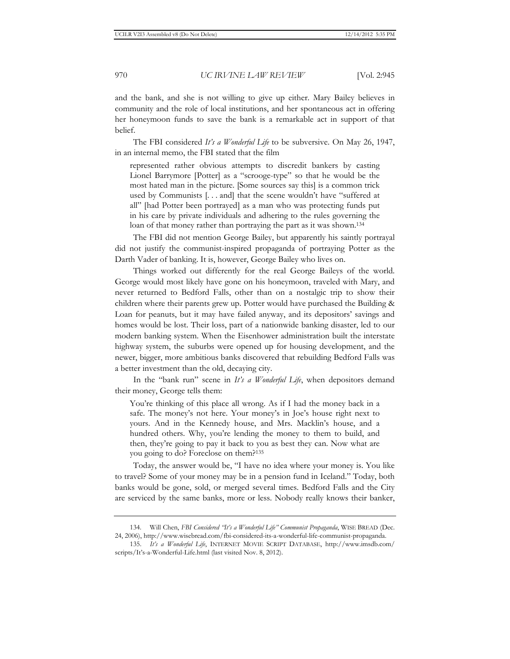and the bank, and she is not willing to give up either. Mary Bailey believes in community and the role of local institutions, and her spontaneous act in offering her honeymoon funds to save the bank is a remarkable act in support of that belief.

The FBI considered *It's a Wonderful Life* to be subversive. On May 26, 1947, in an internal memo, the FBI stated that the film

represented rather obvious attempts to discredit bankers by casting Lionel Barrymore [Potter] as a "scrooge-type" so that he would be the most hated man in the picture. [Some sources say this] is a common trick used by Communists [. . . and] that the scene wouldn't have "suffered at all" [had Potter been portrayed] as a man who was protecting funds put in his care by private individuals and adhering to the rules governing the loan of that money rather than portraying the part as it was shown.<sup>134</sup>

The FBI did not mention George Bailey, but apparently his saintly portrayal did not justify the communist-inspired propaganda of portraying Potter as the Darth Vader of banking. It is, however, George Bailey who lives on.

Things worked out differently for the real George Baileys of the world. George would most likely have gone on his honeymoon, traveled with Mary, and never returned to Bedford Falls, other than on a nostalgic trip to show their children where their parents grew up. Potter would have purchased the Building & Loan for peanuts, but it may have failed anyway, and its depositors' savings and homes would be lost. Their loss, part of a nationwide banking disaster, led to our modern banking system. When the Eisenhower administration built the interstate highway system, the suburbs were opened up for housing development, and the newer, bigger, more ambitious banks discovered that rebuilding Bedford Falls was a better investment than the old, decaying city.

In the "bank run" scene in *It's a Wonderful Life*, when depositors demand their money, George tells them:

You're thinking of this place all wrong. As if I had the money back in a safe. The money's not here. Your money's in Joe's house right next to yours. And in the Kennedy house, and Mrs. Macklin's house, and a hundred others. Why, you're lending the money to them to build, and then, they're going to pay it back to you as best they can. Now what are you going to do? Foreclose on them?135

Today, the answer would be, "I have no idea where your money is. You like to travel? Some of your money may be in a pension fund in Iceland." Today, both banks would be gone, sold, or merged several times. Bedford Falls and the City are serviced by the same banks, more or less. Nobody really knows their banker,

<sup>134.</sup> Will Chen, *FBI Considered "It's a Wonderful Life" Communist Propaganda*, WISE BREAD (Dec. 24, 2006), http://www.wisebread.com/fbi-considered-its-a-wonderful-life-communist-propaganda.

<sup>135.</sup> *It's a Wonderful Life*, INTERNET MOVIE SCRIPT DATABASE, http://www.imsdb.com/ scripts/It's-a-Wonderful-Life.html (last visited Nov. 8, 2012).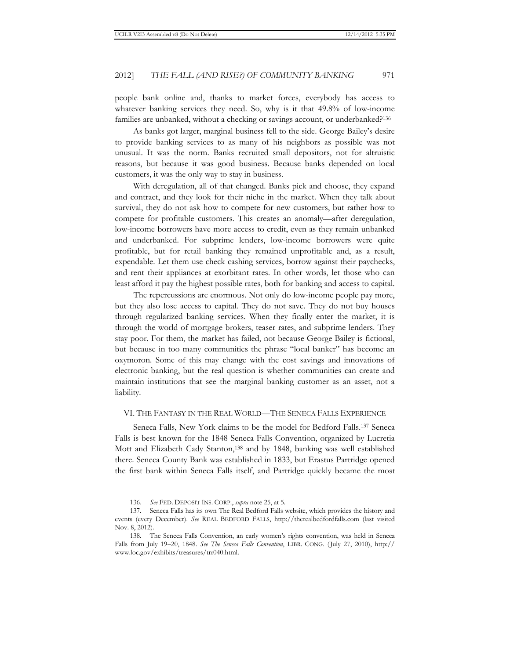people bank online and, thanks to market forces, everybody has access to whatever banking services they need. So, why is it that 49.8% of low-income families are unbanked, without a checking or savings account, or underbanked?<sup>136</sup>

As banks got larger, marginal business fell to the side. George Bailey's desire to provide banking services to as many of his neighbors as possible was not unusual. It was the norm. Banks recruited small depositors, not for altruistic reasons, but because it was good business. Because banks depended on local customers, it was the only way to stay in business.

With deregulation, all of that changed. Banks pick and choose, they expand and contract, and they look for their niche in the market. When they talk about survival, they do not ask how to compete for new customers, but rather how to compete for profitable customers. This creates an anomaly—after deregulation, low-income borrowers have more access to credit, even as they remain unbanked and underbanked. For subprime lenders, low-income borrowers were quite profitable, but for retail banking they remained unprofitable and, as a result, expendable. Let them use check cashing services, borrow against their paychecks, and rent their appliances at exorbitant rates. In other words, let those who can least afford it pay the highest possible rates, both for banking and access to capital.

The repercussions are enormous. Not only do low-income people pay more, but they also lose access to capital. They do not save. They do not buy houses through regularized banking services. When they finally enter the market, it is through the world of mortgage brokers, teaser rates, and subprime lenders. They stay poor. For them, the market has failed, not because George Bailey is fictional, but because in too many communities the phrase "local banker" has become an oxymoron. Some of this may change with the cost savings and innovations of electronic banking, but the real question is whether communities can create and maintain institutions that see the marginal banking customer as an asset, not a liability.

#### VI. THE FANTASY IN THE REAL WORLD—THE SENECA FALLS EXPERIENCE

Seneca Falls, New York claims to be the model for Bedford Falls.137 Seneca Falls is best known for the 1848 Seneca Falls Convention, organized by Lucretia Mott and Elizabeth Cady Stanton,138 and by 1848, banking was well established there. Seneca County Bank was established in 1833, but Erastus Partridge opened the first bank within Seneca Falls itself, and Partridge quickly became the most

<sup>136.</sup> *See* FED. DEPOSIT INS. CORP., *supra* note 25, at 5.

<sup>137.</sup> Seneca Falls has its own The Real Bedford Falls website, which provides the history and events (every December). *See* REAL BEDFORD FALLS, http://therealbedfordfalls.com (last visited Nov. 8, 2012).

<sup>138.</sup> The Seneca Falls Convention, an early women's rights convention, was held in Seneca Falls from July 19–20, 1848. *See The Seneca Falls Convention*, LIBR. CONG. (July 27, 2010), http:// www.loc.gov/exhibits/treasures/trr040.html.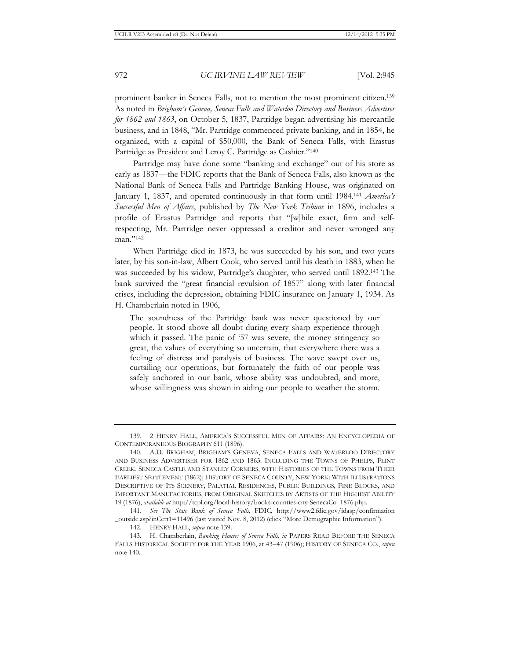prominent banker in Seneca Falls, not to mention the most prominent citizen.139 As noted in *Brigham's Geneva, Seneca Falls and Waterloo Directory and Business Advertiser for 1862 and 1863*, on October 5, 1837, Partridge began advertising his mercantile business, and in 1848, "Mr. Partridge commenced private banking, and in 1854, he organized, with a capital of \$50,000, the Bank of Seneca Falls, with Erastus Partridge as President and Leroy C. Partridge as Cashier."140

Partridge may have done some "banking and exchange" out of his store as early as 1837—the FDIC reports that the Bank of Seneca Falls, also known as the National Bank of Seneca Falls and Partridge Banking House, was originated on January 1, 1837, and operated continuously in that form until 1984.141 *America's Successful Men of Affairs*, published by *The New York Tribune* in 1896, includes a profile of Erastus Partridge and reports that "[w]hile exact, firm and selfrespecting, Mr. Partridge never oppressed a creditor and never wronged any man."142

When Partridge died in 1873, he was succeeded by his son, and two years later, by his son-in-law, Albert Cook, who served until his death in 1883, when he was succeeded by his widow, Partridge's daughter, who served until 1892.143 The bank survived the "great financial revulsion of 1857" along with later financial crises, including the depression, obtaining FDIC insurance on January 1, 1934. As H. Chamberlain noted in 1906,

The soundness of the Partridge bank was never questioned by our people. It stood above all doubt during every sharp experience through which it passed. The panic of '57 was severe, the money stringency so great, the values of everything so uncertain, that everywhere there was a feeling of distress and paralysis of business. The wave swept over us, curtailing our operations, but fortunately the faith of our people was safely anchored in our bank, whose ability was undoubted, and more, whose willingness was shown in aiding our people to weather the storm.

<sup>139. 2</sup> HENRY HALL, AMERICA'S SUCCESSFUL MEN OF AFFAIRS: AN ENCYCLOPEDIA OF CONTEMPORANEOUS BIOGRAPHY 611 (1896).

<sup>140.</sup> A.D. BRIGHAM, BRIGHAM'S GENEVA, SENECA FALLS AND WATERLOO DIRECTORY AND BUSINESS ADVERTISER FOR 1862 AND 1863: INCLUDING THE TOWNS OF PHELPS, FLINT CREEK, SENECA CASTLE AND STANLEY CORNERS, WITH HISTORIES OF THE TOWNS FROM THEIR EARLIEST SETTLEMENT (1862); HISTORY OF SENECA COUNTY, NEW YORK: WITH ILLUSTRATIONS DESCRIPTIVE OF ITS SCENERY, PALATIAL RESIDENCES, PUBLIC BUILDINGS, FINE BLOCKS, AND IMPORTANT MANUFACTORIES, FROM ORIGINAL SKETCHES BY ARTISTS OF THE HIGHEST ABILITY 19 (1876), *available at* http://tcpl.org/local-history/books-counties-cny-SenecaCo\_1876.php.

<sup>141.</sup> *See The State Bank of Seneca Falls*, FDIC, http://www2.fdic.gov/idasp/confirmation \_outside.asp?inCert1=11496 (last visited Nov. 8, 2012) (click "More Demographic Information").

<sup>142.</sup> HENRY HALL, *supra* note 139.

<sup>143.</sup> H. Chamberlain, *Banking Houses of Seneca Falls*, *in* PAPERS READ BEFORE THE SENECA FALLS HISTORICAL SOCIETY FOR THE YEAR 1906, at 43–47 (1906); HISTORY OF SENECA CO., *supra* note 140.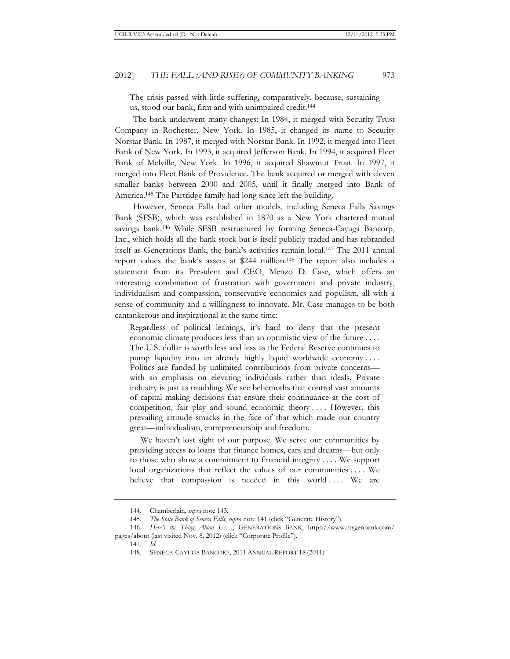The crisis passed with little suffering, comparatively, because, sustaining us, stood our bank, firm and with unimpaired credit.144

The bank underwent many changes: In 1984, it merged with Security Trust Company in Rochester, New York. In 1985, it changed its name to Security Norstar Bank. In 1987, it merged with Norstar Bank. In 1992, it merged into Fleet Bank of New York. In 1993, it acquired Jefferson Bank. In 1994, it acquired Fleet Bank of Melville, New York. In 1996, it acquired Shawmut Trust. In 1997, it merged into Fleet Bank of Providence. The bank acquired or merged with eleven smaller banks between 2000 and 2005, until it finally merged into Bank of America.145 The Partridge family had long since left the building.

However, Seneca Falls had other models, including Seneca Falls Savings Bank (SFSB), which was established in 1870 as a New York chartered mutual savings bank.146 While SFSB restructured by forming Seneca-Cayuga Bancorp, Inc., which holds all the bank stock but is itself publicly traded and has rebranded itself as Generations Bank, the bank's activities remain local.147 The 2011 annual report values the bank's assets at \$244 million.148 The report also includes a statement from its President and CEO, Menzo D. Case, which offers an interesting combination of frustration with government and private industry, individualism and compassion, conservative economics and populism, all with a sense of community and a willingness to innovate. Mr. Case manages to be both cantankerous and inspirational at the same time:

Regardless of political leanings, it's hard to deny that the present economic climate produces less than an optimistic view of the future . . . . The U.S. dollar is worth less and less as the Federal Reserve continues to pump liquidity into an already highly liquid worldwide economy . . . . Politics are funded by unlimited contributions from private concerns with an emphasis on elevating individuals rather than ideals. Private industry is just as troubling. We see behemoths that control vast amounts of capital making decisions that ensure their continuance at the cost of competition, fair play and sound economic theory .... However, this prevailing attitude smacks in the face of that which made our country great—individualism, entrepreneurship and freedom.

We haven't lost sight of our purpose. We serve our communities by providing access to loans that finance homes, cars and dreams—but only to those who show a commitment to financial integrity . . . . We support local organizations that reflect the values of our communities .... We believe that compassion is needed in this world .... We are

<sup>144.</sup> Chamberlain, *supra* note 143.

<sup>145.</sup> *The State Bank of Seneca Falls*, *supra* note 141 (click "Generate History").

<sup>146.</sup> *Here's the Thing About Us…*, GENERATIONS BANK, https://www.mygenbank.com/ pages/about (last visited Nov. 8, 2012) (click "Corporate Profile").

<sup>147.</sup> *Id.*

<sup>148.</sup> SENECA-CAYUGA BANCORP, 2011 ANNUAL REPORT 18 (2011)*.*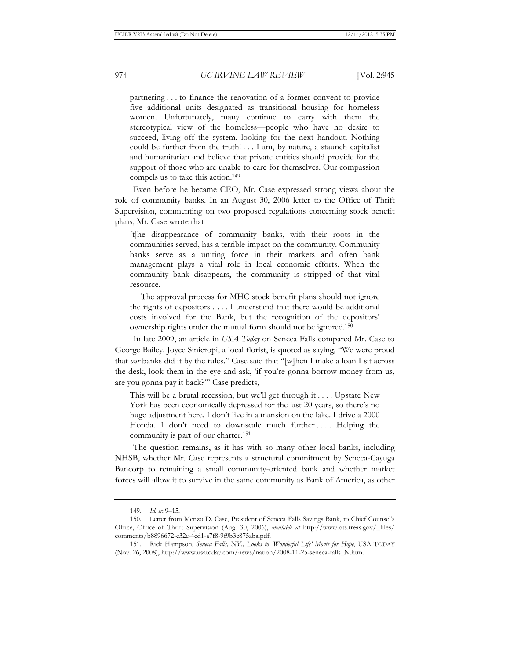partnering . . . to finance the renovation of a former convent to provide five additional units designated as transitional housing for homeless women. Unfortunately, many continue to carry with them the stereotypical view of the homeless—people who have no desire to succeed, living off the system, looking for the next handout. Nothing could be further from the truth! . . . I am, by nature, a staunch capitalist and humanitarian and believe that private entities should provide for the support of those who are unable to care for themselves. Our compassion compels us to take this action.149

Even before he became CEO, Mr. Case expressed strong views about the role of community banks. In an August 30, 2006 letter to the Office of Thrift Supervision, commenting on two proposed regulations concerning stock benefit plans, Mr. Case wrote that

[t]he disappearance of community banks, with their roots in the communities served, has a terrible impact on the community. Community banks serve as a uniting force in their markets and often bank management plays a vital role in local economic efforts. When the community bank disappears, the community is stripped of that vital resource.

 The approval process for MHC stock benefit plans should not ignore the rights of depositors . . . . I understand that there would be additional costs involved for the Bank, but the recognition of the depositors' ownership rights under the mutual form should not be ignored.150

In late 2009, an article in *USA Today* on Seneca Falls compared Mr. Case to George Bailey. Joyce Sinicropi, a local florist, is quoted as saying, "We were proud that *our* banks did it by the rules." Case said that "[w]hen I make a loan I sit across the desk, look them in the eye and ask, 'if you're gonna borrow money from us, are you gonna pay it back?'" Case predicts,

This will be a brutal recession, but we'll get through it . . . . Upstate New York has been economically depressed for the last 20 years, so there's no huge adjustment here. I don't live in a mansion on the lake. I drive a 2000 Honda. I don't need to downscale much further .... Helping the community is part of our charter.151

The question remains, as it has with so many other local banks, including NHSB, whether Mr. Case represents a structural commitment by Seneca-Cayuga Bancorp to remaining a small community-oriented bank and whether market forces will allow it to survive in the same community as Bank of America, as other

<sup>149.</sup> *Id.* at 9–15*.*

<sup>150.</sup> Letter from Menzo D. Case, President of Seneca Falls Savings Bank, to Chief Counsel's Office, Office of Thrift Supervision (Aug. 30, 2006), *available at* http://www.ots.treas.gov/\_files/ comments/b8896672-e32e-4cd1-a7f8-9f9b3c875aba.pdf.

<sup>151.</sup> Rick Hampson, *Seneca Falls, NY., Looks to 'Wonderful Life' Movie for Hope*, USA TODAY (Nov. 26, 2008), http://www.usatoday.com/news/nation/2008-11-25-seneca-falls\_N.htm.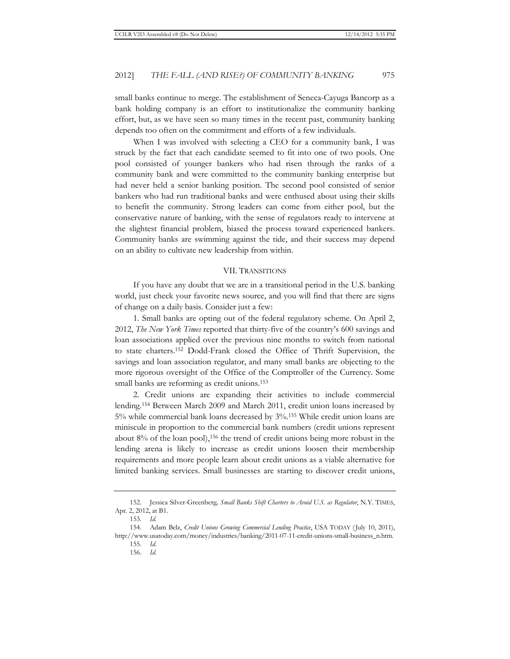small banks continue to merge. The establishment of Seneca-Cayuga Bancorp as a bank holding company is an effort to institutionalize the community banking effort, but, as we have seen so many times in the recent past, community banking depends too often on the commitment and efforts of a few individuals.

When I was involved with selecting a CEO for a community bank, I was struck by the fact that each candidate seemed to fit into one of two pools. One pool consisted of younger bankers who had risen through the ranks of a community bank and were committed to the community banking enterprise but had never held a senior banking position. The second pool consisted of senior bankers who had run traditional banks and were enthused about using their skills to benefit the community. Strong leaders can come from either pool, but the conservative nature of banking, with the sense of regulators ready to intervene at the slightest financial problem, biased the process toward experienced bankers. Community banks are swimming against the tide, and their success may depend on an ability to cultivate new leadership from within.

#### VII. TRANSITIONS

If you have any doubt that we are in a transitional period in the U.S. banking world, just check your favorite news source, and you will find that there are signs of change on a daily basis. Consider just a few:

1. Small banks are opting out of the federal regulatory scheme. On April 2, 2012, *The New York Times* reported that thirty-five of the country's 600 savings and loan associations applied over the previous nine months to switch from national to state charters.152 Dodd-Frank closed the Office of Thrift Supervision, the savings and loan association regulator, and many small banks are objecting to the more rigorous oversight of the Office of the Comptroller of the Currency. Some small banks are reforming as credit unions.<sup>153</sup>

2. Credit unions are expanding their activities to include commercial lending.154 Between March 2009 and March 2011, credit union loans increased by 5% while commercial bank loans decreased by 3%.155 While credit union loans are miniscule in proportion to the commercial bank numbers (credit unions represent about 8% of the loan pool),<sup>156</sup> the trend of credit unions being more robust in the lending arena is likely to increase as credit unions loosen their membership requirements and more people learn about credit unions as a viable alternative for limited banking services. Small businesses are starting to discover credit unions,

<sup>152.</sup> Jessica Silver-Greenberg*, Small Banks Shift Charters to Avoid U.S. as Regulator*, N.Y. TIMES, Apr. 2, 2012, at B1.

<sup>153.</sup> *Id.*

<sup>154.</sup> Adam Belz, *Credit Unions Growing Commercial Lending Practice*, USA TODAY (July 10, 2011), http://www.usatoday.com/money/industries/banking/2011-07-11-credit-unions-small-business\_n.htm.

<sup>155.</sup> *Id.*

<sup>156.</sup> *Id.*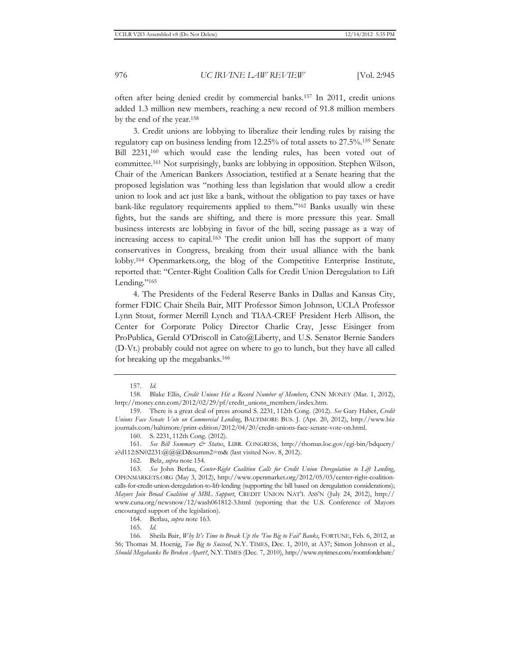often after being denied credit by commercial banks.157 In 2011, credit unions added 1.3 million new members, reaching a new record of 91.8 million members by the end of the year.158

3. Credit unions are lobbying to liberalize their lending rules by raising the regulatory cap on business lending from 12.25% of total assets to 27.5%.159 Senate Bill 2231,<sup>160</sup> which would ease the lending rules, has been voted out of committee.161 Not surprisingly, banks are lobbying in opposition. Stephen Wilson, Chair of the American Bankers Association, testified at a Senate hearing that the proposed legislation was "nothing less than legislation that would allow a credit union to look and act just like a bank, without the obligation to pay taxes or have bank-like regulatory requirements applied to them."162 Banks usually win these fights, but the sands are shifting, and there is more pressure this year. Small business interests are lobbying in favor of the bill, seeing passage as a way of increasing access to capital.163 The credit union bill has the support of many conservatives in Congress, breaking from their usual alliance with the bank lobby.164 Openmarkets.org, the blog of the Competitive Enterprise Institute, reported that: "Center-Right Coalition Calls for Credit Union Deregulation to Lift Lending."<sup>165</sup>

4. The Presidents of the Federal Reserve Banks in Dallas and Kansas City, former FDIC Chair Sheila Bair, MIT Professor Simon Johnson, UCLA Professor Lynn Stout, former Merrill Lynch and TIAA-CREF President Herb Allison, the Center for Corporate Policy Director Charlie Cray, Jesse Eisinger from ProPublica, Gerald O'Driscoll in Cato@Liberty, and U.S. Senator Bernie Sanders (D-Vt.) probably could not agree on where to go to lunch, but they have all called for breaking up the megabanks.166

164. Berlau, *supra* note 163.

165. *Id.*

166. Sheila Bair, *Why It's Time to Break Up the 'Too Big to Fail' Banks*, FORTUNE, Feb. 6, 2012, at 56; Thomas M. Hoenig, *Too Big to Succeed*, N.Y. TIMES, Dec. 1, 2010, at A37; Simon Johnson et al., *Should Megabanks Be Broken Apart?*, N.Y. TIMES (Dec. 7, 2010), http://www.nytimes.com/roomfordebate/

<sup>157.</sup> *Id.*

<sup>158.</sup> Blake Ellis, *Credit Unions Hit a Record Number of Members*, CNN MONEY (Mar. 1, 2012), http://money.cnn.com/2012/02/29/pf/credit\_unions\_members/index.htm.

<sup>159.</sup> There is a great deal of press around S. 2231, 112th Cong. (2012). *See* Gary Haber, *Credit Unions Face Senate Vote on Commercial Lending*, BALTIMORE BUS. J. (Apr. 20, 2012), http://www.biz journals.com/baltimore/print-edition/2012/04/20/credit-unions-face-senate-vote-on.html.

<sup>160.</sup> S. 2231, 112th Cong. (2012).

<sup>161.</sup> *See Bill Summary & Status*, LIBR. CONGRESS, http://thomas.loc.gov/cgi-bin/bdquery/ z?d112:SN02231:@@@D&summ2=m& (last visited Nov. 8, 2012).

<sup>162.</sup> Belz, *supra* note 154.

<sup>163.</sup> *See* John Berlau, *Center-Right Coalition Calls for Credit Union Deregulation to Lift Lending*, OPENMARKETS.ORG (May 3, 2012), http://www.openmarket.org/2012/05/03/center-right-coalitioncalls-for-credit-union-deregulation-to-lift-lending (supporting the bill based on deregulation considerations); *Mayors Join Broad Coalition of MBL Support*, CREDIT UNION NAT'L ASS'N (July 24, 2012), http:// www.cuna.org/newsnow/12/wash061812-3.html (reporting that the U.S. Conference of Mayors encouraged support of the legislation).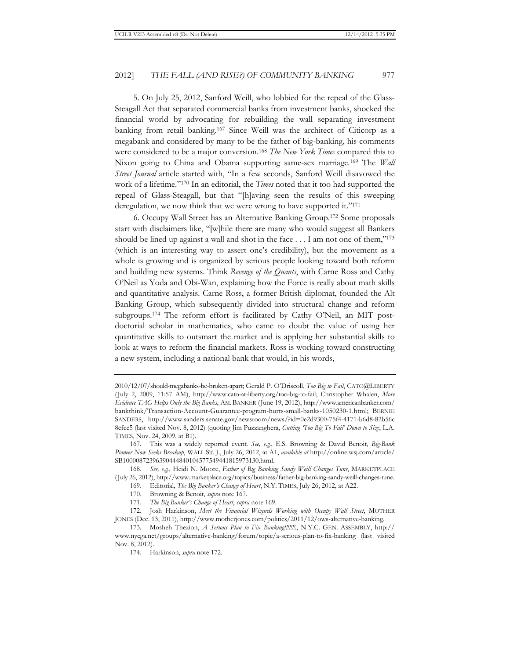5. On July 25, 2012, Sanford Weill, who lobbied for the repeal of the Glass-Steagall Act that separated commercial banks from investment banks, shocked the financial world by advocating for rebuilding the wall separating investment banking from retail banking.167 Since Weill was the architect of Citicorp as a megabank and considered by many to be the father of big-banking, his comments were considered to be a major conversion.168 *The New York Times* compared this to Nixon going to China and Obama supporting same-sex marriage.169 The *Wall Street Journal* article started with, "In a few seconds, Sanford Weill disavowed the work of a lifetime."170 In an editorial, the *Times* noted that it too had supported the repeal of Glass-Steagall, but that "[h]aving seen the results of this sweeping deregulation, we now think that we were wrong to have supported it."171

6. Occupy Wall Street has an Alternative Banking Group.172 Some proposals start with disclaimers like, "[w]hile there are many who would suggest all Bankers should be lined up against a wall and shot in the face  $\dots$  I am not one of them,"<sup>173</sup> (which is an interesting way to assert one's credibility), but the movement as a whole is growing and is organized by serious people looking toward both reform and building new systems. Think *Revenge of the Quants*, with Carne Ross and Cathy O'Neil as Yoda and Obi-Wan, explaining how the Force is really about math skills and quantitative analysis. Carne Ross, a former British diplomat, founded the Alt Banking Group, which subsequently divided into structural change and reform subgroups.174 The reform effort is facilitated by Cathy O'Neil, an MIT postdoctorial scholar in mathematics, who came to doubt the value of using her quantitative skills to outsmart the market and is applying her substantial skills to look at ways to reform the financial markets. Ross is working toward constructing a new system, including a national bank that would, in his words,

168. *See, e.g.*, Heidi N. Moore, *Father of Big Banking Sandy Weill Changes Tune*, MARKETPLACE (July 26, 2012), http://www.marketplace.org/topics/business/father-big-banking-sandy-weill-changes-tune.

169. Editorial, *The Big Banker's Change of Heart*, N.Y. TIMES, July 26, 2012, at A22.

170. Browning & Benoit, *supra* note 167.

171. *The Big Banker's Change of Heart*, *supra* note 169.

172. Josh Harkinson, *Meet the Financial Wizards Working with Occupy Wall Street*, MOTHER JONES (Dec. 13, 2011), http://www.motherjones.com/politics/2011/12/ows-alternative-banking.

<sup>2010/12/07/</sup>should-megabanks-be-broken-apart; Gerald P. O'Driscoll, *Too Big to Fail*, CATO@LIBERTY (July 2, 2009, 11:57 AM), http://www.cato-at-liberty.org/too-big-to-fail; Christopher Whalen, *More Evidence TAG Helps Only the Big Banks*, AM. BANKER (June 19, 2012), http://www.americanbanker.com/ bankthink/Transaction-Account-Guarantee-program-hurts-small-banks-1050230-1.html; BERNIE SANDERS, http://www.sanders.senate.gov/newsroom/news/?id=0e2d9300-75f4-4171-b6d8-82b56c 8efce5 (last visited Nov. 8, 2012) (quoting Jim Puzzanghera, *Cutting 'Too Big To Fail' Down to Size*, L.A. TIMES, Nov. 24, 2009, at B1).

<sup>167.</sup> This was a widely reported event. *See, e.g.*, E.S. Browning & David Benoit, *Big-Bank Pioneer Now Seeks Breakup*, WALL ST. J., July 26, 2012, at A1, *available at* http://online.wsj.com/article/ SB10000872396390444840104577549441815973130.html.

<sup>173.</sup> Mosheh Thezion, *A Serious Plan to Fix Banking!!!!!!!.*, N.Y.C. GEN. ASSEMBLY, http:// www.nycga.net/groups/alternative-banking/forum/topic/a-serious-plan-to-fix-banking (last visited Nov. 8, 2012).

<sup>174.</sup> Harkinson, *supra* note 172.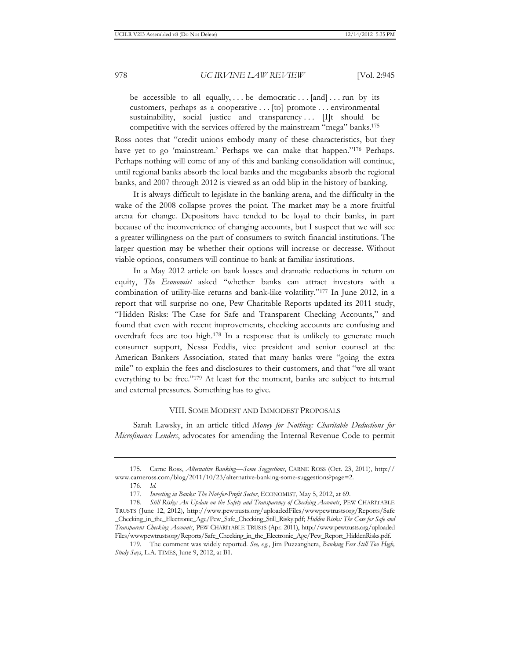be accessible to all equally, ... be democratic ... [and] ... run by its customers, perhaps as a cooperative . . . [to] promote . . . environmental sustainability, social justice and transparency ... [I]t should be competitive with the services offered by the mainstream "mega" banks.175

Ross notes that "credit unions embody many of these characteristics, but they have yet to go 'mainstream.' Perhaps we can make that happen."176 Perhaps. Perhaps nothing will come of any of this and banking consolidation will continue, until regional banks absorb the local banks and the megabanks absorb the regional banks, and 2007 through 2012 is viewed as an odd blip in the history of banking.

It is always difficult to legislate in the banking arena, and the difficulty in the wake of the 2008 collapse proves the point. The market may be a more fruitful arena for change. Depositors have tended to be loyal to their banks, in part because of the inconvenience of changing accounts, but I suspect that we will see a greater willingness on the part of consumers to switch financial institutions. The larger question may be whether their options will increase or decrease. Without viable options, consumers will continue to bank at familiar institutions.

In a May 2012 article on bank losses and dramatic reductions in return on equity, *The Economist* asked "whether banks can attract investors with a combination of utility-like returns and bank-like volatility."177 In June 2012, in a report that will surprise no one, Pew Charitable Reports updated its 2011 study, "Hidden Risks: The Case for Safe and Transparent Checking Accounts," and found that even with recent improvements, checking accounts are confusing and overdraft fees are too high.178 In a response that is unlikely to generate much consumer support, Nessa Feddis, vice president and senior counsel at the American Bankers Association, stated that many banks were "going the extra mile" to explain the fees and disclosures to their customers, and that "we all want everything to be free."179 At least for the moment, banks are subject to internal and external pressures. Something has to give.

#### VIII. SOME MODEST AND IMMODEST PROPOSALS

Sarah Lawsky, in an article titled *Money for Nothing: Charitable Deductions for Microfinance Lenders*, advocates for amending the Internal Revenue Code to permit

<sup>175.</sup> Carne Ross, *Alternative Banking—Some Suggestions*, CARNE ROSS (Oct. 23, 2011), http:// www.carneross.com/blog/2011/10/23/alternative-banking-some-suggestions?page=2.

<sup>176.</sup> *Id.*

<sup>177.</sup> *Investing in Banks: The Not-for-Profit Sector*, ECONOMIST, May 5, 2012, at 69.

<sup>178.</sup> *Still Risky: An Update on the Safety and Transparency of Checking Accounts*, PEW CHARITABLE TRUSTS (June 12, 2012), http://www.pewtrusts.org/uploadedFiles/wwwpewtrustsorg/Reports/Safe \_Checking\_in\_the\_Electronic\_Age/Pew\_Safe\_Checking\_Still\_Risky.pdf; *Hidden Risks: The Case for Safe and Transparent Checking Accounts*, PEW CHARITABLE TRUSTS (Apr. 2011), http://www.pewtrusts.org/uploaded Files/wwwpewtrustsorg/Reports/Safe\_Checking\_in\_the\_Electronic\_Age/Pew\_Report\_HiddenRisks.pdf.

<sup>179.</sup> The comment was widely reported. *See, e.g.*, Jim Puzzanghera, *Banking Fees Still Too High, Study Says*, L.A. TIMES, June 9, 2012, at B1.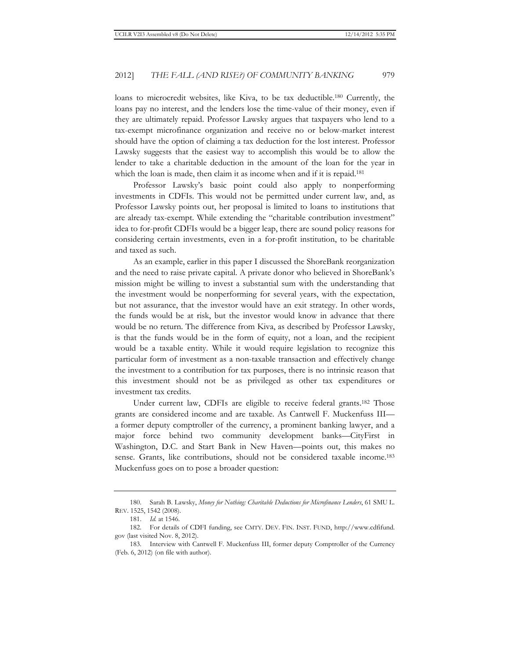loans to microcredit websites, like Kiva, to be tax deductible.180 Currently, the loans pay no interest, and the lenders lose the time-value of their money, even if they are ultimately repaid. Professor Lawsky argues that taxpayers who lend to a tax-exempt microfinance organization and receive no or below-market interest should have the option of claiming a tax deduction for the lost interest. Professor Lawsky suggests that the easiest way to accomplish this would be to allow the lender to take a charitable deduction in the amount of the loan for the year in which the loan is made, then claim it as income when and if it is repaid.<sup>181</sup>

Professor Lawsky's basic point could also apply to nonperforming investments in CDFIs. This would not be permitted under current law, and, as Professor Lawsky points out, her proposal is limited to loans to institutions that are already tax-exempt. While extending the "charitable contribution investment" idea to for-profit CDFIs would be a bigger leap, there are sound policy reasons for considering certain investments, even in a for-profit institution, to be charitable and taxed as such.

As an example, earlier in this paper I discussed the ShoreBank reorganization and the need to raise private capital. A private donor who believed in ShoreBank's mission might be willing to invest a substantial sum with the understanding that the investment would be nonperforming for several years, with the expectation, but not assurance, that the investor would have an exit strategy. In other words, the funds would be at risk, but the investor would know in advance that there would be no return. The difference from Kiva, as described by Professor Lawsky, is that the funds would be in the form of equity, not a loan, and the recipient would be a taxable entity. While it would require legislation to recognize this particular form of investment as a non-taxable transaction and effectively change the investment to a contribution for tax purposes, there is no intrinsic reason that this investment should not be as privileged as other tax expenditures or investment tax credits.

Under current law, CDFIs are eligible to receive federal grants.<sup>182</sup> Those grants are considered income and are taxable. As Cantwell F. Muckenfuss III a former deputy comptroller of the currency, a prominent banking lawyer, and a major force behind two community development banks—CityFirst in Washington, D.C. and Start Bank in New Haven—points out, this makes no sense. Grants, like contributions, should not be considered taxable income.<sup>183</sup> Muckenfuss goes on to pose a broader question:

<sup>180.</sup> Sarah B. Lawsky, *Money for Nothing: Charitable Deductions for Microfinance Lenders*, 61 SMU L. REV. 1525, 1542 (2008).

<sup>181.</sup> *Id.* at 1546.

<sup>182.</sup> For details of CDFI funding, see CMTY. DEV. FIN. INST. FUND, http://www.cdfifund. gov (last visited Nov. 8, 2012).

<sup>183.</sup> Interview with Cantwell F. Muckenfuss III, former deputy Comptroller of the Currency (Feb. 6, 2012) (on file with author).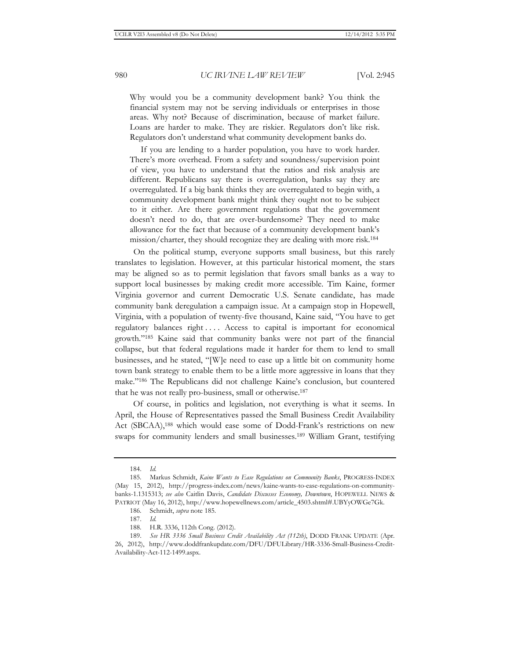Why would you be a community development bank? You think the financial system may not be serving individuals or enterprises in those areas. Why not? Because of discrimination, because of market failure. Loans are harder to make. They are riskier. Regulators don't like risk. Regulators don't understand what community development banks do.

 If you are lending to a harder population, you have to work harder. There's more overhead. From a safety and soundness/supervision point of view, you have to understand that the ratios and risk analysis are different. Republicans say there is overregulation, banks say they are overregulated. If a big bank thinks they are overregulated to begin with, a community development bank might think they ought not to be subject to it either. Are there government regulations that the government doesn't need to do, that are over-burdensome? They need to make allowance for the fact that because of a community development bank's mission/charter, they should recognize they are dealing with more risk.184

On the political stump, everyone supports small business, but this rarely translates to legislation. However, at this particular historical moment, the stars may be aligned so as to permit legislation that favors small banks as a way to support local businesses by making credit more accessible. Tim Kaine, former Virginia governor and current Democratic U.S. Senate candidate, has made community bank deregulation a campaign issue. At a campaign stop in Hopewell, Virginia, with a population of twenty-five thousand, Kaine said, "You have to get regulatory balances right . . . . Access to capital is important for economical growth."185 Kaine said that community banks were not part of the financial collapse, but that federal regulations made it harder for them to lend to small businesses, and he stated, "[W]e need to ease up a little bit on community home town bank strategy to enable them to be a little more aggressive in loans that they make."186 The Republicans did not challenge Kaine's conclusion, but countered that he was not really pro-business, small or otherwise.187

Of course, in politics and legislation, not everything is what it seems. In April, the House of Representatives passed the Small Business Credit Availability Act (SBCAA),188 which would ease some of Dodd-Frank's restrictions on new swaps for community lenders and small businesses.189 William Grant, testifying

<sup>184.</sup> *Id.*

<sup>185.</sup> Markus Schmidt, *Kaine Wants to Ease Regulations on Community Banks*, PROGRESS-INDEX (May 15, 2012), http://progress-index.com/news/kaine-wants-to-ease-regulations-on-communitybanks-1.1315313; *see also* Caitlin Davis, *Candidate Discusses Economy, Downtown*, HOPEWELL NEWS & PATRIOT (May 16, 2012), http://www.hopewellnews.com/article\_4503.shtml#.UBYyOWGe7Gk.

<sup>186.</sup> Schmidt, *supra* note 185.

<sup>187.</sup> *Id.*

<sup>188.</sup> H.R. 3336, 112th Cong. (2012).

<sup>189.</sup> *See HR 3336 Small Business Credit Availability Act (112th)*, DODD FRANK UPDATE (Apr. 26, 2012), http://www.doddfrankupdate.com/DFU/DFULibrary/HR-3336-Small-Business-Credit-Availability-Act-112-1499.aspx.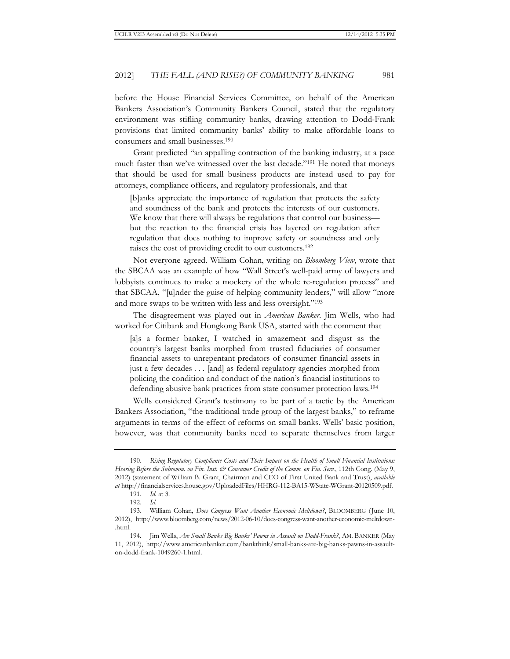before the House Financial Services Committee, on behalf of the American Bankers Association's Community Bankers Council, stated that the regulatory environment was stifling community banks, drawing attention to Dodd-Frank provisions that limited community banks' ability to make affordable loans to consumers and small businesses.190

Grant predicted "an appalling contraction of the banking industry, at a pace much faster than we've witnessed over the last decade."191 He noted that moneys that should be used for small business products are instead used to pay for attorneys, compliance officers, and regulatory professionals, and that

[b]anks appreciate the importance of regulation that protects the safety and soundness of the bank and protects the interests of our customers. We know that there will always be regulations that control our business but the reaction to the financial crisis has layered on regulation after regulation that does nothing to improve safety or soundness and only raises the cost of providing credit to our customers.192

Not everyone agreed. William Cohan, writing on *Bloomberg View*, wrote that the SBCAA was an example of how "Wall Street's well-paid army of lawyers and lobbyists continues to make a mockery of the whole re-regulation process" and that SBCAA, "[u]nder the guise of helping community lenders," will allow "more and more swaps to be written with less and less oversight."193

The disagreement was played out in *American Banker*. Jim Wells, who had worked for Citibank and Hongkong Bank USA, started with the comment that

[a]s a former banker, I watched in amazement and disgust as the country's largest banks morphed from trusted fiduciaries of consumer financial assets to unrepentant predators of consumer financial assets in just a few decades . . . [and] as federal regulatory agencies morphed from policing the condition and conduct of the nation's financial institutions to defending abusive bank practices from state consumer protection laws.194

Wells considered Grant's testimony to be part of a tactic by the American Bankers Association, "the traditional trade group of the largest banks," to reframe arguments in terms of the effect of reforms on small banks. Wells' basic position, however, was that community banks need to separate themselves from larger

<sup>190.</sup> *Rising Regulatory Compliance Costs and Their Impact on the Health of Small Financial Institutions: Hearing Before the Subcomm. on Fin. Inst. & Consumer Credit of the Comm. on Fin. Serv.*, 112th Cong. (May 9, 2012) (statement of William B. Grant, Chairman and CEO of First United Bank and Trust), *available at* http://financialservices.house.gov/UploadedFiles/HHRG-112-BA15-WState-WGrant-20120509.pdf.

<sup>191.</sup> *Id.* at 3.

<sup>192.</sup> *Id*.

<sup>193.</sup> William Cohan, *Does Congress Want Another Economic Meltdown?*, BLOOMBERG (June 10, 2012), http://www.bloomberg.com/news/2012-06-10/does-congress-want-another-economic-meltdown- .html.

<sup>194.</sup> Jim Wells, *Are Small Banks Big Banks' Pawns in Assault on Dodd-Frank?*, AM. BANKER (May 11, 2012), http://www.americanbanker.com/bankthink/small-banks-are-big-banks-pawns-in-assaulton-dodd-frank-1049260-1.html.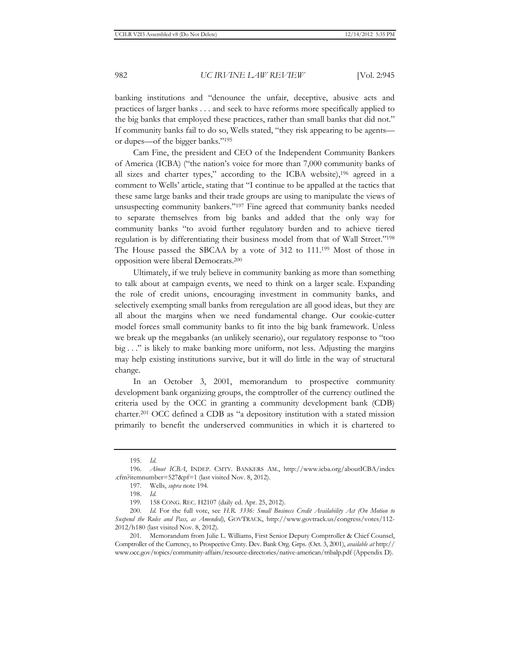banking institutions and "denounce the unfair, deceptive, abusive acts and practices of larger banks . . . and seek to have reforms more specifically applied to the big banks that employed these practices, rather than small banks that did not." If community banks fail to do so, Wells stated, "they risk appearing to be agents or dupes—of the bigger banks."195

Cam Fine, the president and CEO of the Independent Community Bankers of America (ICBA) ("the nation's voice for more than 7,000 community banks of all sizes and charter types," according to the ICBA website),196 agreed in a comment to Wells' article, stating that "I continue to be appalled at the tactics that these same large banks and their trade groups are using to manipulate the views of unsuspecting community bankers."197 Fine agreed that community banks needed to separate themselves from big banks and added that the only way for community banks "to avoid further regulatory burden and to achieve tiered regulation is by differentiating their business model from that of Wall Street."198 The House passed the SBCAA by a vote of 312 to 111.199 Most of those in opposition were liberal Democrats.200

Ultimately, if we truly believe in community banking as more than something to talk about at campaign events, we need to think on a larger scale. Expanding the role of credit unions, encouraging investment in community banks, and selectively exempting small banks from reregulation are all good ideas, but they are all about the margins when we need fundamental change. Our cookie-cutter model forces small community banks to fit into the big bank framework. Unless we break up the megabanks (an unlikely scenario), our regulatory response to "too big . . ." is likely to make banking more uniform, not less. Adjusting the margins may help existing institutions survive, but it will do little in the way of structural change.

In an October 3, 2001, memorandum to prospective community development bank organizing groups, the comptroller of the currency outlined the criteria used by the OCC in granting a community development bank (CDB) charter.201 OCC defined a CDB as "a depository institution with a stated mission primarily to benefit the underserved communities in which it is chartered to

<sup>195.</sup> *Id.*

<sup>196.</sup> *About ICBA*, INDEP. CMTY. BANKERS AM., http://www.icba.org/aboutICBA/index .cfm?itemnumber=527&pf=1 (last visited Nov. 8, 2012).

<sup>197.</sup> Wells, *supra* note 194.

<sup>198.</sup> *Id.*

<sup>199. 158</sup> CONG. REC. H2107 (daily ed. Apr. 25, 2012).

<sup>200.</sup> *Id.* For the full vote, see *H.R. 3336: Small Business Credit Availability Act (On Motion to Suspend the Rules and Pass, as Amended)*, GOVTRACK, http://www.govtrack.us/congress/votes/112- 2012/h180 (last visited Nov. 8, 2012).

<sup>201.</sup> Memorandum from Julie L. Williams, First Senior Deputy Comptroller & Chief Counsel, Comptroller of the Currency, to Prospective Cmty. Dev. Bank Org. Grps. (Oct. 3, 2001), *available at* http:// www.occ.gov/topics/community-affairs/resource-directories/native-american/tribalp.pdf (Appendix D).